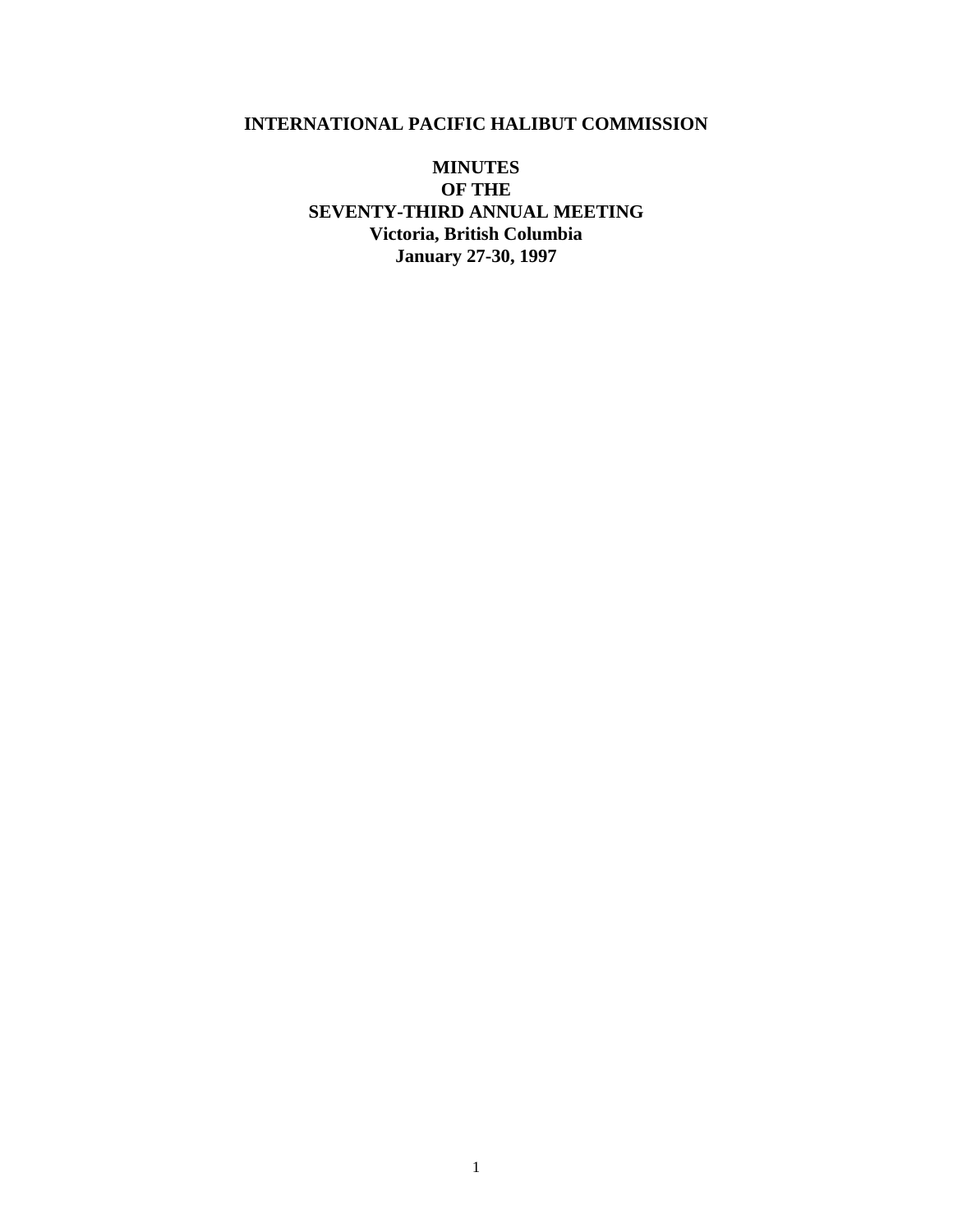# **INTERNATIONAL PACIFIC HALIBUT COMMISSION**

**MINUTES OF THE SEVENTY-THIRD ANNUAL MEETING Victoria, British Columbia January 27-30, 1997**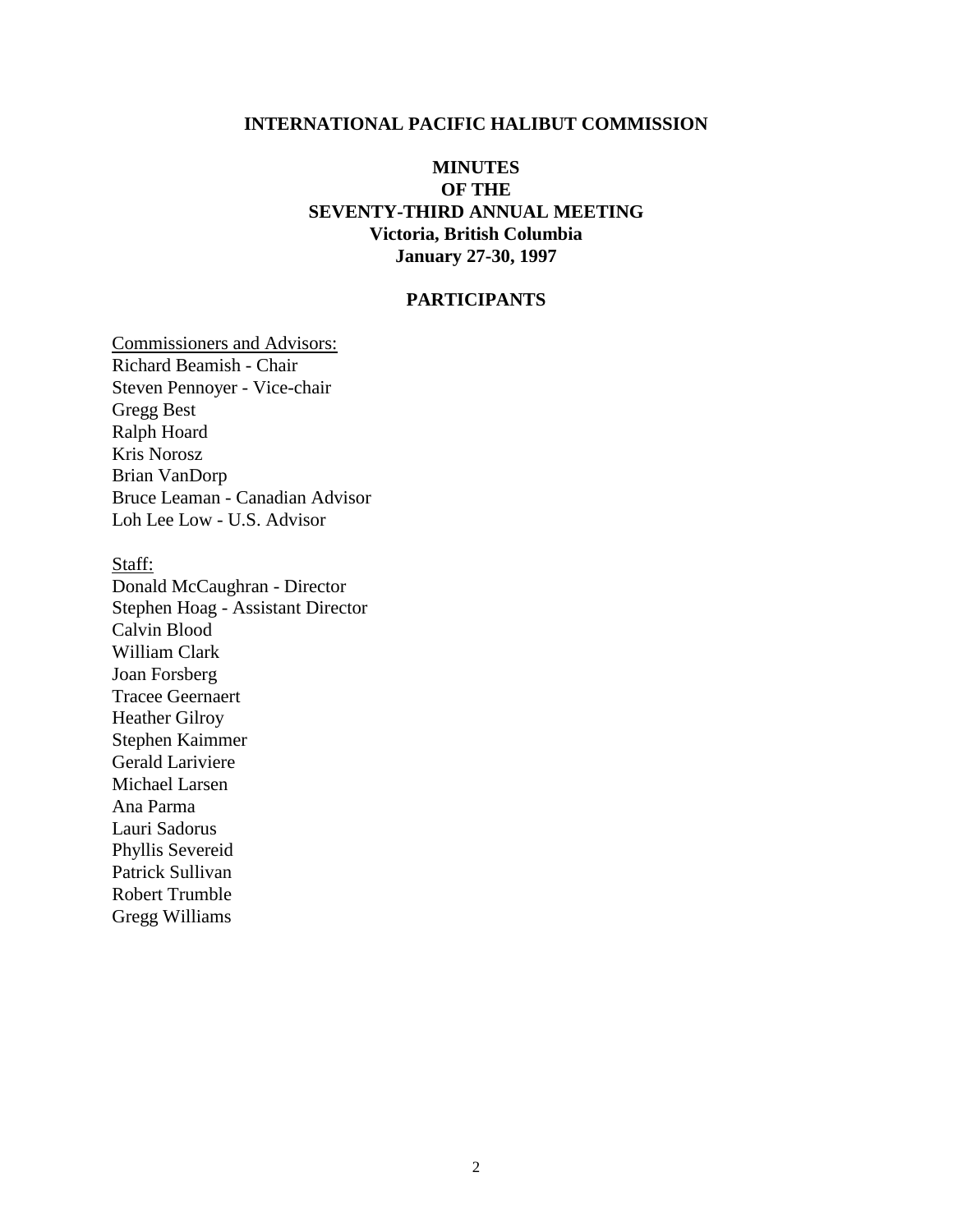#### **INTERNATIONAL PACIFIC HALIBUT COMMISSION**

# **MINUTES OF THE SEVENTY-THIRD ANNUAL MEETING Victoria, British Columbia January 27-30, 1997**

## **PARTICIPANTS**

Commissioners and Advisors: Richard Beamish - Chair Steven Pennoyer - Vice-chair Gregg Best Ralph Hoard Kris Norosz Brian VanDorp Bruce Leaman - Canadian Advisor Loh Lee Low - U.S. Advisor

Staff: Donald McCaughran - Director Stephen Hoag - Assistant Director Calvin Blood William Clark Joan Forsberg Tracee Geernaert Heather Gilroy Stephen Kaimmer Gerald Lariviere Michael Larsen Ana Parma Lauri Sadorus Phyllis Severeid Patrick Sullivan Robert Trumble Gregg Williams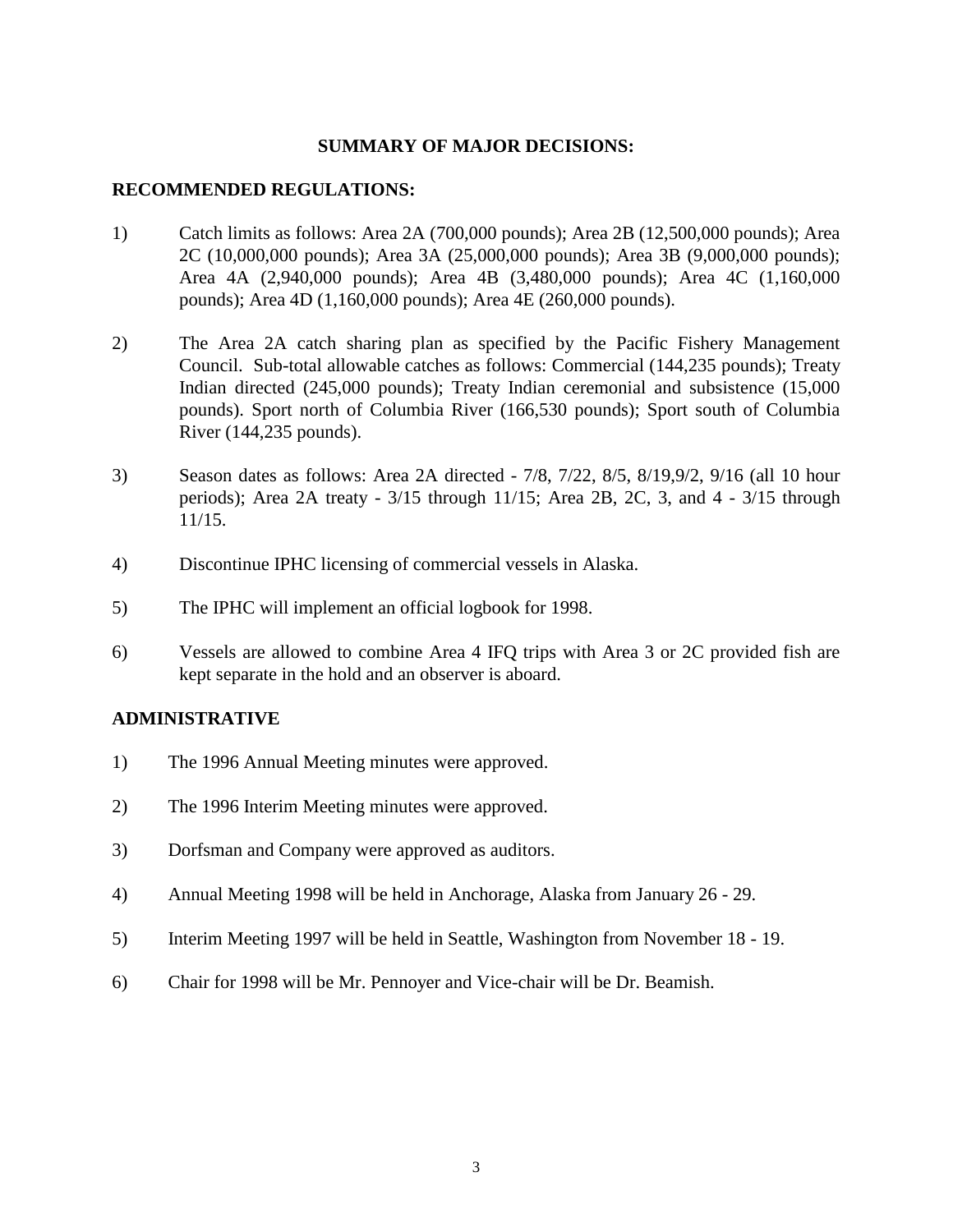#### **SUMMARY OF MAJOR DECISIONS:**

#### **RECOMMENDED REGULATIONS:**

- 1) Catch limits as follows: Area 2A (700,000 pounds); Area 2B (12,500,000 pounds); Area 2C (10,000,000 pounds); Area 3A (25,000,000 pounds); Area 3B (9,000,000 pounds); Area 4A (2,940,000 pounds); Area 4B (3,480,000 pounds); Area 4C (1,160,000 pounds); Area 4D (1,160,000 pounds); Area 4E (260,000 pounds).
- 2) The Area 2A catch sharing plan as specified by the Pacific Fishery Management Council. Sub-total allowable catches as follows: Commercial (144,235 pounds); Treaty Indian directed (245,000 pounds); Treaty Indian ceremonial and subsistence (15,000 pounds). Sport north of Columbia River (166,530 pounds); Sport south of Columbia River (144,235 pounds).
- 3) Season dates as follows: Area 2A directed 7/8, 7/22, 8/5, 8/19,9/2, 9/16 (all 10 hour periods); Area 2A treaty - 3/15 through 11/15; Area 2B, 2C, 3, and 4 - 3/15 through 11/15.
- 4) Discontinue IPHC licensing of commercial vessels in Alaska.
- 5) The IPHC will implement an official logbook for 1998.
- 6) Vessels are allowed to combine Area 4 IFQ trips with Area 3 or 2C provided fish are kept separate in the hold and an observer is aboard.

#### **ADMINISTRATIVE**

- 1) The 1996 Annual Meeting minutes were approved.
- 2) The 1996 Interim Meeting minutes were approved.
- 3) Dorfsman and Company were approved as auditors.
- 4) Annual Meeting 1998 will be held in Anchorage, Alaska from January 26 29.
- 5) Interim Meeting 1997 will be held in Seattle, Washington from November 18 19.
- 6) Chair for 1998 will be Mr. Pennoyer and Vice-chair will be Dr. Beamish.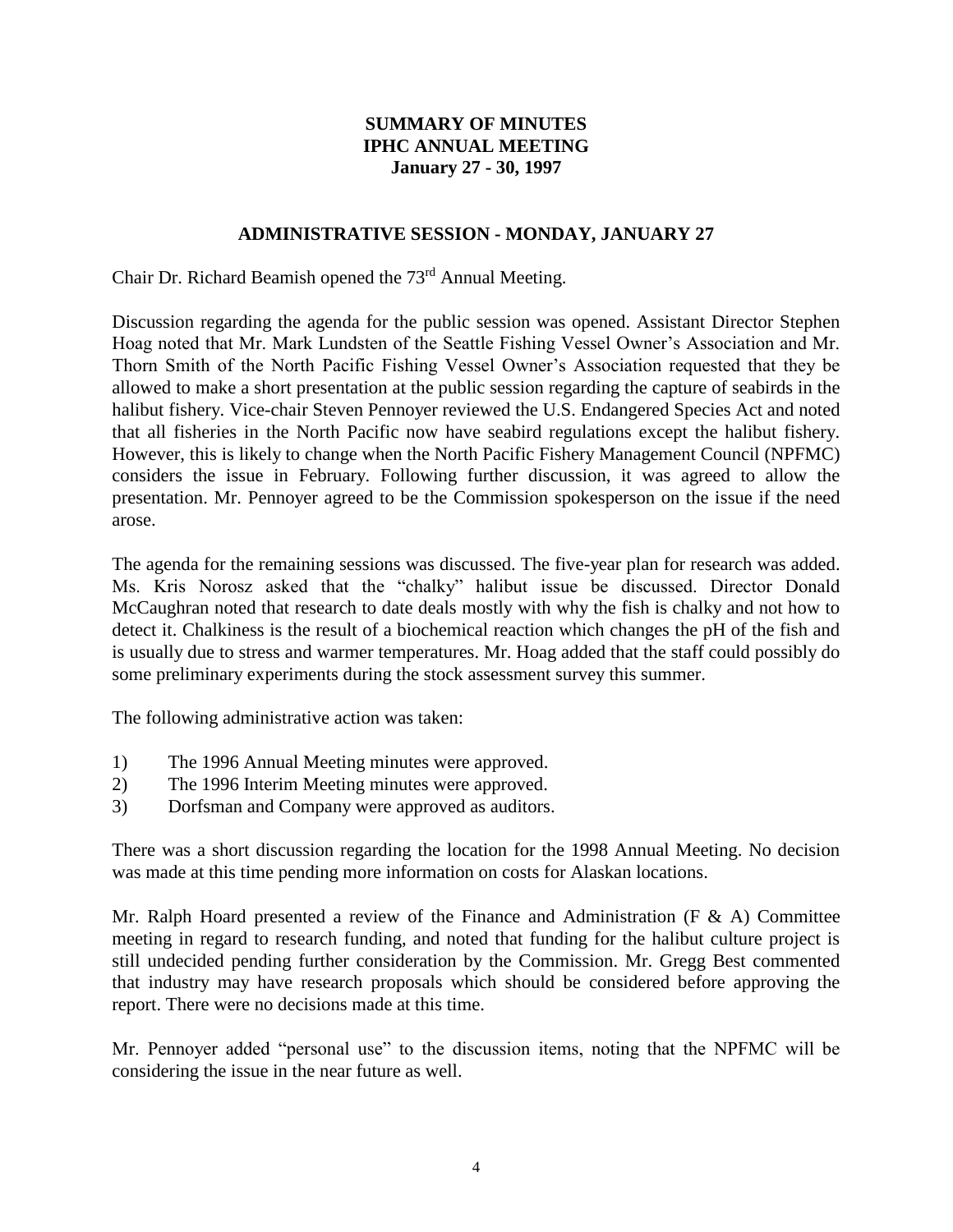# **SUMMARY OF MINUTES IPHC ANNUAL MEETING January 27 - 30, 1997**

#### **ADMINISTRATIVE SESSION - MONDAY, JANUARY 27**

Chair Dr. Richard Beamish opened the 73<sup>rd</sup> Annual Meeting.

Discussion regarding the agenda for the public session was opened. Assistant Director Stephen Hoag noted that Mr. Mark Lundsten of the Seattle Fishing Vessel Owner's Association and Mr. Thorn Smith of the North Pacific Fishing Vessel Owner's Association requested that they be allowed to make a short presentation at the public session regarding the capture of seabirds in the halibut fishery. Vice-chair Steven Pennoyer reviewed the U.S. Endangered Species Act and noted that all fisheries in the North Pacific now have seabird regulations except the halibut fishery. However, this is likely to change when the North Pacific Fishery Management Council (NPFMC) considers the issue in February. Following further discussion, it was agreed to allow the presentation. Mr. Pennoyer agreed to be the Commission spokesperson on the issue if the need arose.

The agenda for the remaining sessions was discussed. The five-year plan for research was added. Ms. Kris Norosz asked that the "chalky" halibut issue be discussed. Director Donald McCaughran noted that research to date deals mostly with why the fish is chalky and not how to detect it. Chalkiness is the result of a biochemical reaction which changes the pH of the fish and is usually due to stress and warmer temperatures. Mr. Hoag added that the staff could possibly do some preliminary experiments during the stock assessment survey this summer.

The following administrative action was taken:

- 1) The 1996 Annual Meeting minutes were approved.
- 2) The 1996 Interim Meeting minutes were approved.
- 3) Dorfsman and Company were approved as auditors.

There was a short discussion regarding the location for the 1998 Annual Meeting. No decision was made at this time pending more information on costs for Alaskan locations.

Mr. Ralph Hoard presented a review of the Finance and Administration (F  $\&$  A) Committee meeting in regard to research funding, and noted that funding for the halibut culture project is still undecided pending further consideration by the Commission. Mr. Gregg Best commented that industry may have research proposals which should be considered before approving the report. There were no decisions made at this time.

Mr. Pennoyer added "personal use" to the discussion items, noting that the NPFMC will be considering the issue in the near future as well.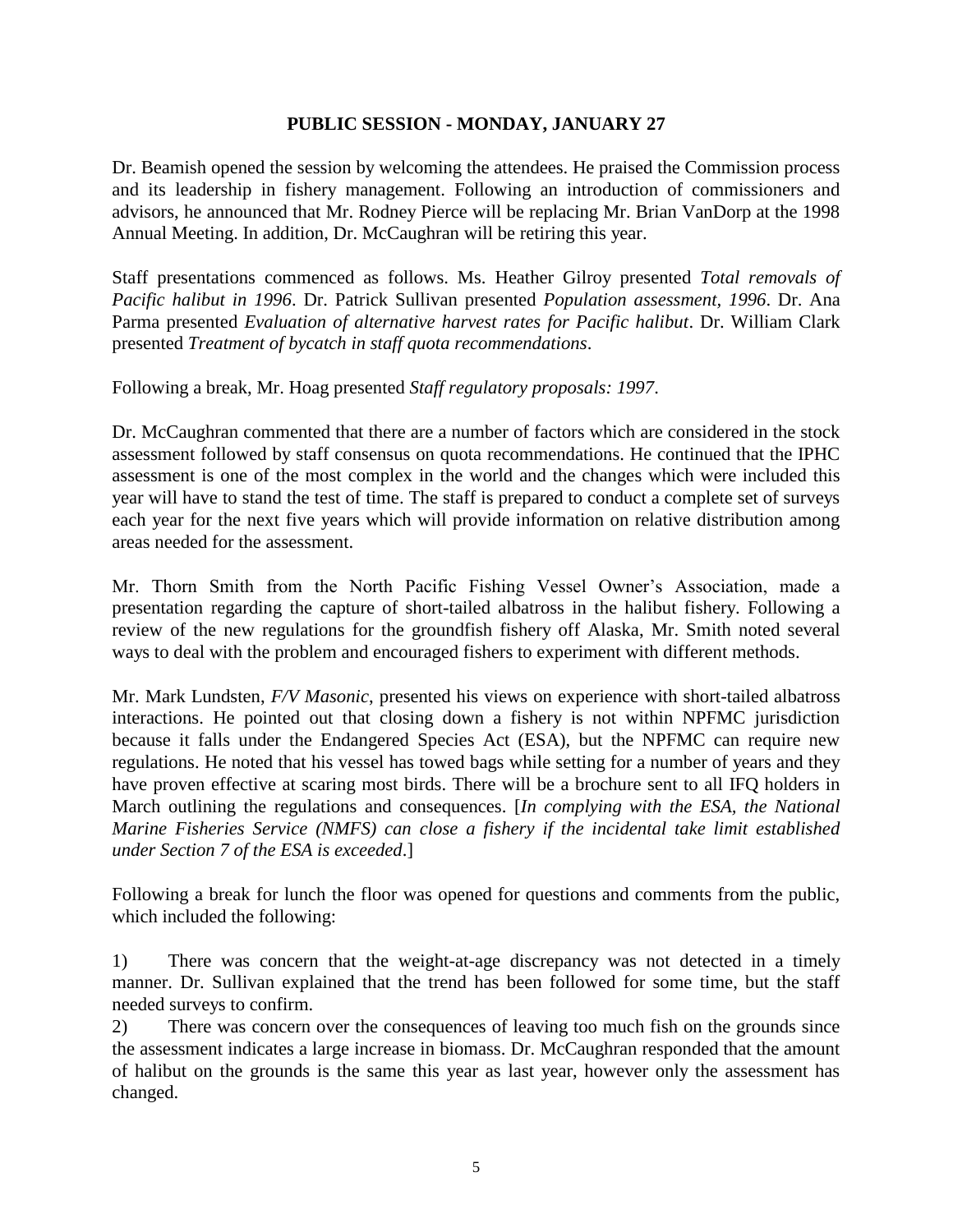#### **PUBLIC SESSION - MONDAY, JANUARY 27**

Dr. Beamish opened the session by welcoming the attendees. He praised the Commission process and its leadership in fishery management. Following an introduction of commissioners and advisors, he announced that Mr. Rodney Pierce will be replacing Mr. Brian VanDorp at the 1998 Annual Meeting. In addition, Dr. McCaughran will be retiring this year.

Staff presentations commenced as follows. Ms. Heather Gilroy presented *Total removals of Pacific halibut in 1996*. Dr. Patrick Sullivan presented *Population assessment, 1996*. Dr. Ana Parma presented *Evaluation of alternative harvest rates for Pacific halibut*. Dr. William Clark presented *Treatment of bycatch in staff quota recommendations*.

Following a break, Mr. Hoag presented *Staff regulatory proposals: 1997*.

Dr. McCaughran commented that there are a number of factors which are considered in the stock assessment followed by staff consensus on quota recommendations. He continued that the IPHC assessment is one of the most complex in the world and the changes which were included this year will have to stand the test of time. The staff is prepared to conduct a complete set of surveys each year for the next five years which will provide information on relative distribution among areas needed for the assessment.

Mr. Thorn Smith from the North Pacific Fishing Vessel Owner's Association, made a presentation regarding the capture of short-tailed albatross in the halibut fishery. Following a review of the new regulations for the groundfish fishery off Alaska, Mr. Smith noted several ways to deal with the problem and encouraged fishers to experiment with different methods.

Mr. Mark Lundsten, *F/V Masonic*, presented his views on experience with short-tailed albatross interactions. He pointed out that closing down a fishery is not within NPFMC jurisdiction because it falls under the Endangered Species Act (ESA), but the NPFMC can require new regulations. He noted that his vessel has towed bags while setting for a number of years and they have proven effective at scaring most birds. There will be a brochure sent to all IFQ holders in March outlining the regulations and consequences. [*In complying with the ESA, the National Marine Fisheries Service (NMFS) can close a fishery if the incidental take limit established under Section 7 of the ESA is exceeded*.]

Following a break for lunch the floor was opened for questions and comments from the public, which included the following:

1) There was concern that the weight-at-age discrepancy was not detected in a timely manner. Dr. Sullivan explained that the trend has been followed for some time, but the staff needed surveys to confirm.

2) There was concern over the consequences of leaving too much fish on the grounds since the assessment indicates a large increase in biomass. Dr. McCaughran responded that the amount of halibut on the grounds is the same this year as last year, however only the assessment has changed.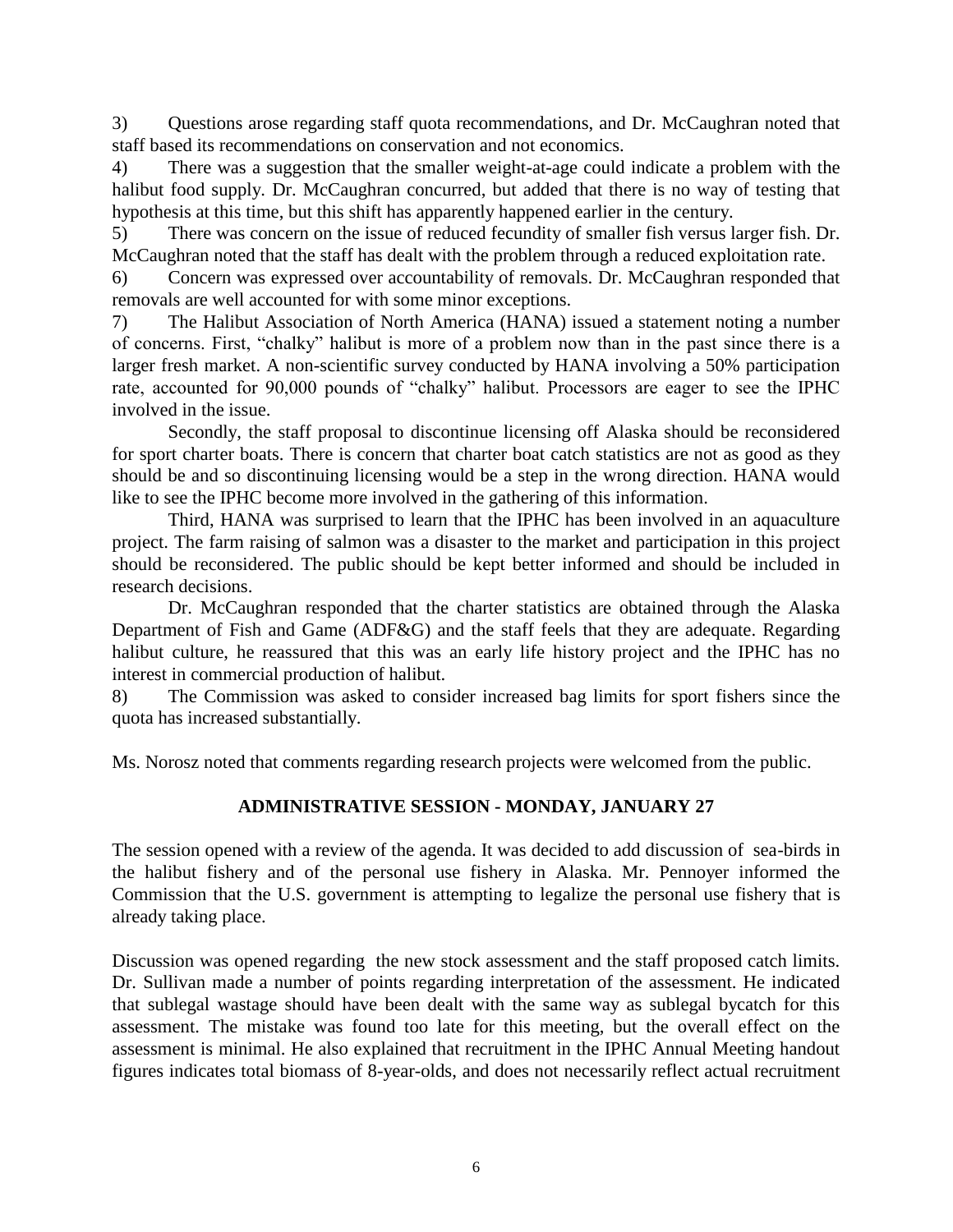3) Questions arose regarding staff quota recommendations, and Dr. McCaughran noted that staff based its recommendations on conservation and not economics.

4) There was a suggestion that the smaller weight-at-age could indicate a problem with the halibut food supply. Dr. McCaughran concurred, but added that there is no way of testing that hypothesis at this time, but this shift has apparently happened earlier in the century.

5) There was concern on the issue of reduced fecundity of smaller fish versus larger fish. Dr. McCaughran noted that the staff has dealt with the problem through a reduced exploitation rate.

6) Concern was expressed over accountability of removals. Dr. McCaughran responded that removals are well accounted for with some minor exceptions.

7) The Halibut Association of North America (HANA) issued a statement noting a number of concerns. First, "chalky" halibut is more of a problem now than in the past since there is a larger fresh market. A non-scientific survey conducted by HANA involving a 50% participation rate, accounted for 90,000 pounds of "chalky" halibut. Processors are eager to see the IPHC involved in the issue.

Secondly, the staff proposal to discontinue licensing off Alaska should be reconsidered for sport charter boats. There is concern that charter boat catch statistics are not as good as they should be and so discontinuing licensing would be a step in the wrong direction. HANA would like to see the IPHC become more involved in the gathering of this information.

Third, HANA was surprised to learn that the IPHC has been involved in an aquaculture project. The farm raising of salmon was a disaster to the market and participation in this project should be reconsidered. The public should be kept better informed and should be included in research decisions.

Dr. McCaughran responded that the charter statistics are obtained through the Alaska Department of Fish and Game (ADF&G) and the staff feels that they are adequate. Regarding halibut culture, he reassured that this was an early life history project and the IPHC has no interest in commercial production of halibut.

8) The Commission was asked to consider increased bag limits for sport fishers since the quota has increased substantially.

Ms. Norosz noted that comments regarding research projects were welcomed from the public.

# **ADMINISTRATIVE SESSION - MONDAY, JANUARY 27**

The session opened with a review of the agenda. It was decided to add discussion of sea-birds in the halibut fishery and of the personal use fishery in Alaska. Mr. Pennoyer informed the Commission that the U.S. government is attempting to legalize the personal use fishery that is already taking place.

Discussion was opened regarding the new stock assessment and the staff proposed catch limits. Dr. Sullivan made a number of points regarding interpretation of the assessment. He indicated that sublegal wastage should have been dealt with the same way as sublegal bycatch for this assessment. The mistake was found too late for this meeting, but the overall effect on the assessment is minimal. He also explained that recruitment in the IPHC Annual Meeting handout figures indicates total biomass of 8-year-olds, and does not necessarily reflect actual recruitment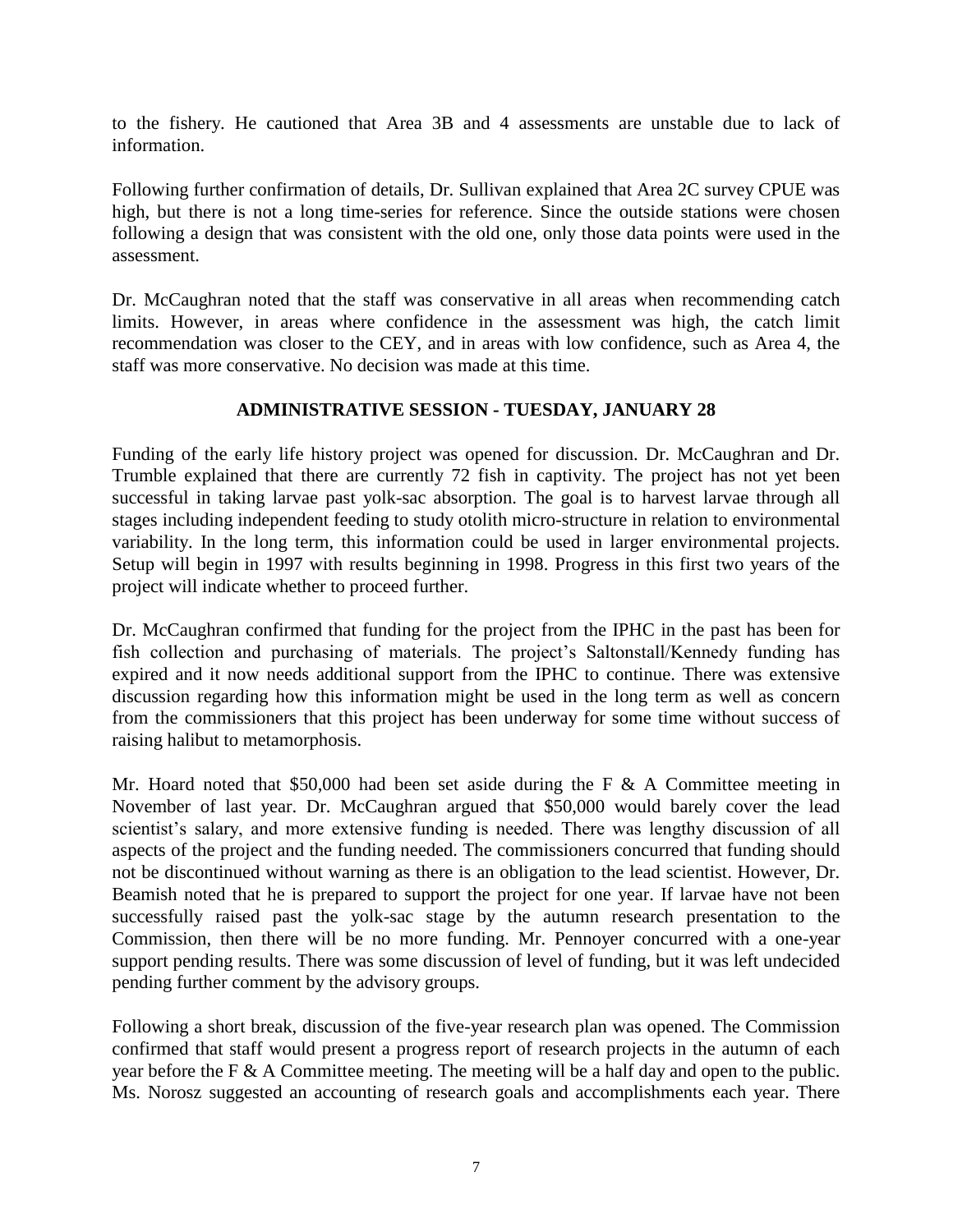to the fishery. He cautioned that Area 3B and 4 assessments are unstable due to lack of information.

Following further confirmation of details, Dr. Sullivan explained that Area 2C survey CPUE was high, but there is not a long time-series for reference. Since the outside stations were chosen following a design that was consistent with the old one, only those data points were used in the assessment.

Dr. McCaughran noted that the staff was conservative in all areas when recommending catch limits. However, in areas where confidence in the assessment was high, the catch limit recommendation was closer to the CEY, and in areas with low confidence, such as Area 4, the staff was more conservative. No decision was made at this time.

# **ADMINISTRATIVE SESSION - TUESDAY, JANUARY 28**

Funding of the early life history project was opened for discussion. Dr. McCaughran and Dr. Trumble explained that there are currently 72 fish in captivity. The project has not yet been successful in taking larvae past yolk-sac absorption. The goal is to harvest larvae through all stages including independent feeding to study otolith micro-structure in relation to environmental variability. In the long term, this information could be used in larger environmental projects. Setup will begin in 1997 with results beginning in 1998. Progress in this first two years of the project will indicate whether to proceed further.

Dr. McCaughran confirmed that funding for the project from the IPHC in the past has been for fish collection and purchasing of materials. The project's Saltonstall/Kennedy funding has expired and it now needs additional support from the IPHC to continue. There was extensive discussion regarding how this information might be used in the long term as well as concern from the commissioners that this project has been underway for some time without success of raising halibut to metamorphosis.

Mr. Hoard noted that \$50,000 had been set aside during the F  $\&$  A Committee meeting in November of last year. Dr. McCaughran argued that \$50,000 would barely cover the lead scientist's salary, and more extensive funding is needed. There was lengthy discussion of all aspects of the project and the funding needed. The commissioners concurred that funding should not be discontinued without warning as there is an obligation to the lead scientist. However, Dr. Beamish noted that he is prepared to support the project for one year. If larvae have not been successfully raised past the yolk-sac stage by the autumn research presentation to the Commission, then there will be no more funding. Mr. Pennoyer concurred with a one-year support pending results. There was some discussion of level of funding, but it was left undecided pending further comment by the advisory groups.

Following a short break, discussion of the five-year research plan was opened. The Commission confirmed that staff would present a progress report of research projects in the autumn of each year before the F & A Committee meeting. The meeting will be a half day and open to the public. Ms. Norosz suggested an accounting of research goals and accomplishments each year. There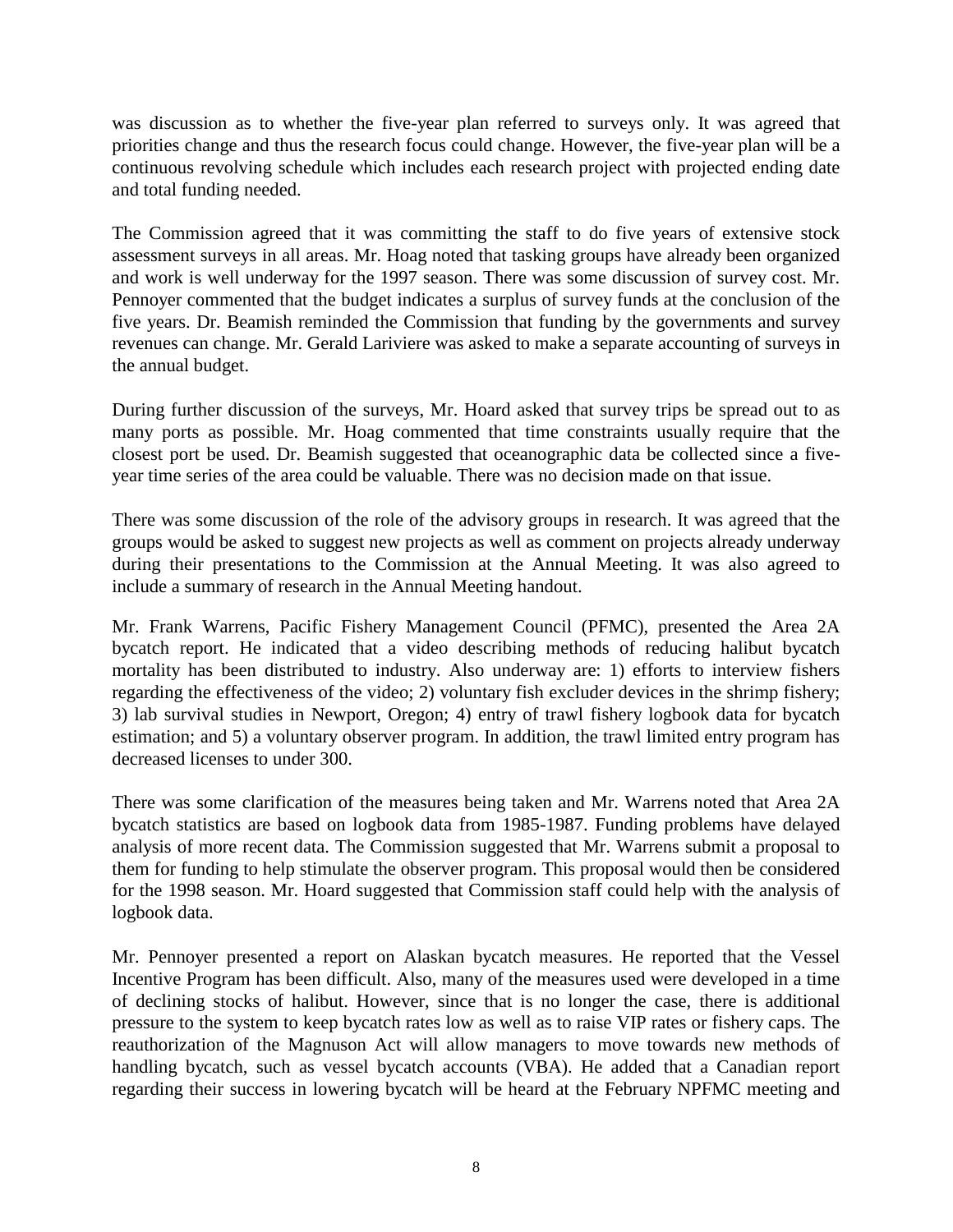was discussion as to whether the five-year plan referred to surveys only. It was agreed that priorities change and thus the research focus could change. However, the five-year plan will be a continuous revolving schedule which includes each research project with projected ending date and total funding needed.

The Commission agreed that it was committing the staff to do five years of extensive stock assessment surveys in all areas. Mr. Hoag noted that tasking groups have already been organized and work is well underway for the 1997 season. There was some discussion of survey cost. Mr. Pennoyer commented that the budget indicates a surplus of survey funds at the conclusion of the five years. Dr. Beamish reminded the Commission that funding by the governments and survey revenues can change. Mr. Gerald Lariviere was asked to make a separate accounting of surveys in the annual budget.

During further discussion of the surveys, Mr. Hoard asked that survey trips be spread out to as many ports as possible. Mr. Hoag commented that time constraints usually require that the closest port be used. Dr. Beamish suggested that oceanographic data be collected since a fiveyear time series of the area could be valuable. There was no decision made on that issue.

There was some discussion of the role of the advisory groups in research. It was agreed that the groups would be asked to suggest new projects as well as comment on projects already underway during their presentations to the Commission at the Annual Meeting. It was also agreed to include a summary of research in the Annual Meeting handout.

Mr. Frank Warrens, Pacific Fishery Management Council (PFMC), presented the Area 2A bycatch report. He indicated that a video describing methods of reducing halibut bycatch mortality has been distributed to industry. Also underway are: 1) efforts to interview fishers regarding the effectiveness of the video; 2) voluntary fish excluder devices in the shrimp fishery; 3) lab survival studies in Newport, Oregon; 4) entry of trawl fishery logbook data for bycatch estimation; and 5) a voluntary observer program. In addition, the trawl limited entry program has decreased licenses to under 300.

There was some clarification of the measures being taken and Mr. Warrens noted that Area 2A bycatch statistics are based on logbook data from 1985-1987. Funding problems have delayed analysis of more recent data. The Commission suggested that Mr. Warrens submit a proposal to them for funding to help stimulate the observer program. This proposal would then be considered for the 1998 season. Mr. Hoard suggested that Commission staff could help with the analysis of logbook data.

Mr. Pennoyer presented a report on Alaskan bycatch measures. He reported that the Vessel Incentive Program has been difficult. Also, many of the measures used were developed in a time of declining stocks of halibut. However, since that is no longer the case, there is additional pressure to the system to keep bycatch rates low as well as to raise VIP rates or fishery caps. The reauthorization of the Magnuson Act will allow managers to move towards new methods of handling bycatch, such as vessel bycatch accounts (VBA). He added that a Canadian report regarding their success in lowering bycatch will be heard at the February NPFMC meeting and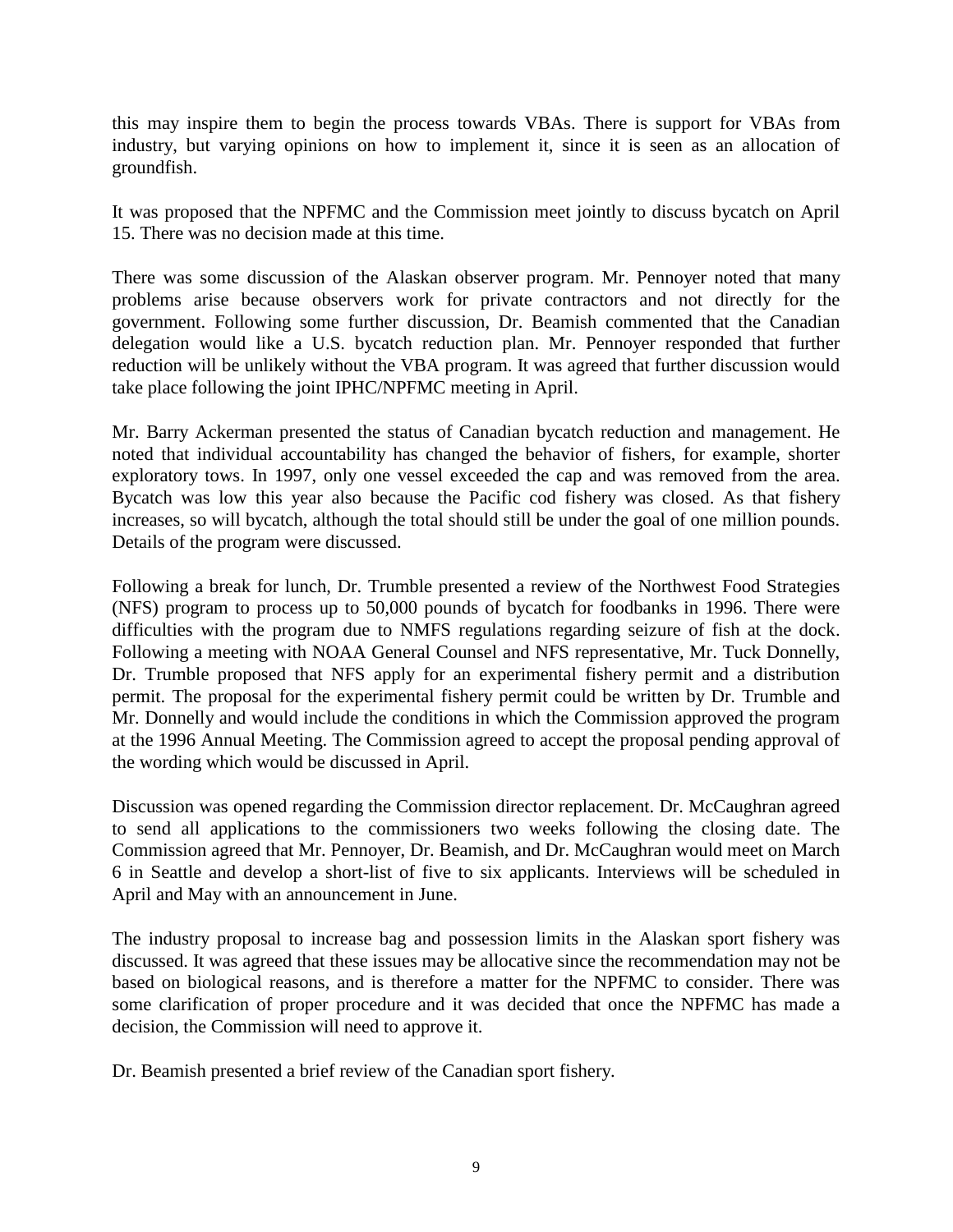this may inspire them to begin the process towards VBAs. There is support for VBAs from industry, but varying opinions on how to implement it, since it is seen as an allocation of groundfish.

It was proposed that the NPFMC and the Commission meet jointly to discuss bycatch on April 15. There was no decision made at this time.

There was some discussion of the Alaskan observer program. Mr. Pennoyer noted that many problems arise because observers work for private contractors and not directly for the government. Following some further discussion, Dr. Beamish commented that the Canadian delegation would like a U.S. bycatch reduction plan. Mr. Pennoyer responded that further reduction will be unlikely without the VBA program. It was agreed that further discussion would take place following the joint IPHC/NPFMC meeting in April.

Mr. Barry Ackerman presented the status of Canadian bycatch reduction and management. He noted that individual accountability has changed the behavior of fishers, for example, shorter exploratory tows. In 1997, only one vessel exceeded the cap and was removed from the area. Bycatch was low this year also because the Pacific cod fishery was closed. As that fishery increases, so will bycatch, although the total should still be under the goal of one million pounds. Details of the program were discussed.

Following a break for lunch, Dr. Trumble presented a review of the Northwest Food Strategies (NFS) program to process up to 50,000 pounds of bycatch for foodbanks in 1996. There were difficulties with the program due to NMFS regulations regarding seizure of fish at the dock. Following a meeting with NOAA General Counsel and NFS representative, Mr. Tuck Donnelly, Dr. Trumble proposed that NFS apply for an experimental fishery permit and a distribution permit. The proposal for the experimental fishery permit could be written by Dr. Trumble and Mr. Donnelly and would include the conditions in which the Commission approved the program at the 1996 Annual Meeting. The Commission agreed to accept the proposal pending approval of the wording which would be discussed in April.

Discussion was opened regarding the Commission director replacement. Dr. McCaughran agreed to send all applications to the commissioners two weeks following the closing date. The Commission agreed that Mr. Pennoyer, Dr. Beamish, and Dr. McCaughran would meet on March 6 in Seattle and develop a short-list of five to six applicants. Interviews will be scheduled in April and May with an announcement in June.

The industry proposal to increase bag and possession limits in the Alaskan sport fishery was discussed. It was agreed that these issues may be allocative since the recommendation may not be based on biological reasons, and is therefore a matter for the NPFMC to consider. There was some clarification of proper procedure and it was decided that once the NPFMC has made a decision, the Commission will need to approve it.

Dr. Beamish presented a brief review of the Canadian sport fishery.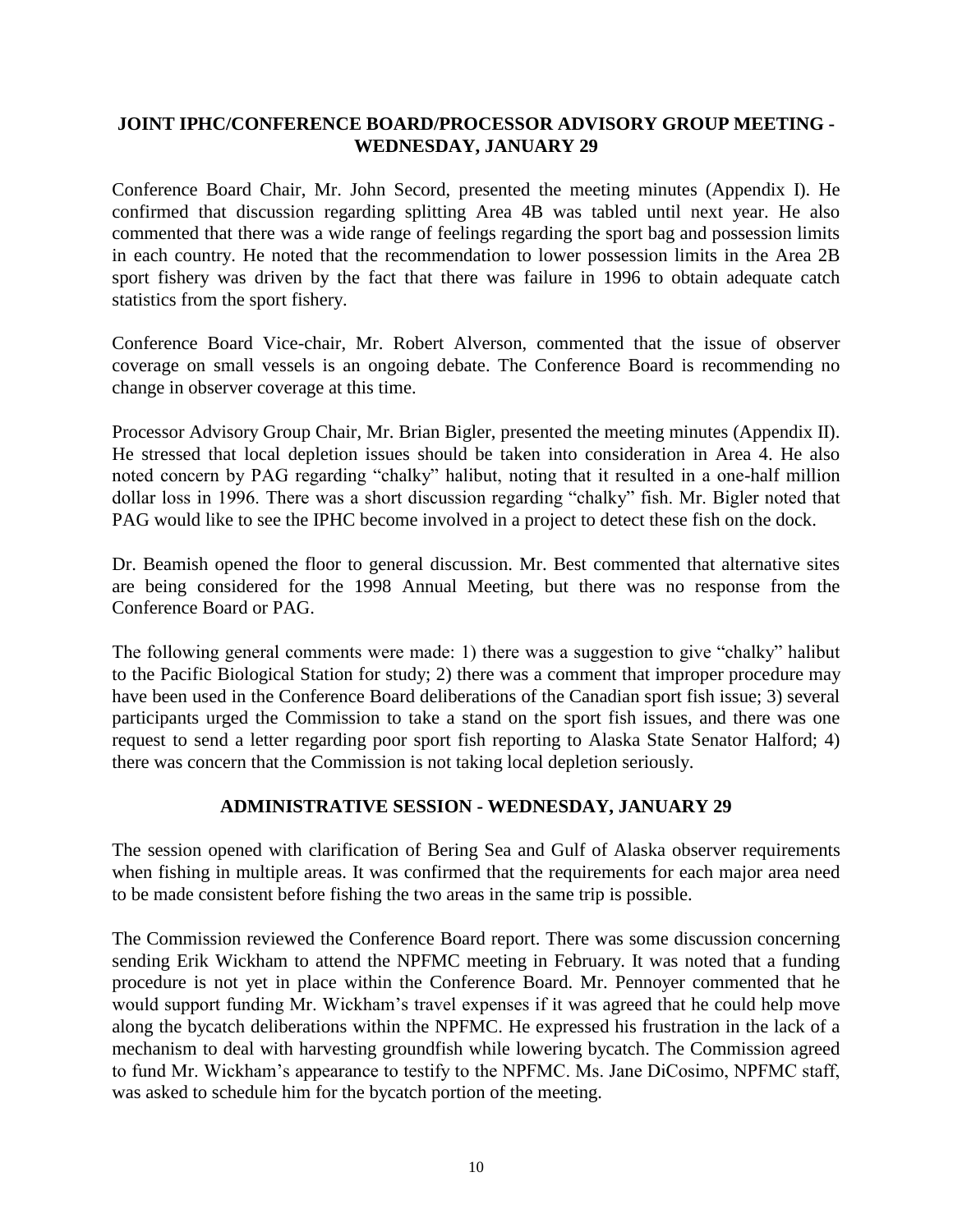# **JOINT IPHC/CONFERENCE BOARD/PROCESSOR ADVISORY GROUP MEETING - WEDNESDAY, JANUARY 29**

Conference Board Chair, Mr. John Secord, presented the meeting minutes (Appendix I). He confirmed that discussion regarding splitting Area 4B was tabled until next year. He also commented that there was a wide range of feelings regarding the sport bag and possession limits in each country. He noted that the recommendation to lower possession limits in the Area 2B sport fishery was driven by the fact that there was failure in 1996 to obtain adequate catch statistics from the sport fishery.

Conference Board Vice-chair, Mr. Robert Alverson, commented that the issue of observer coverage on small vessels is an ongoing debate. The Conference Board is recommending no change in observer coverage at this time.

Processor Advisory Group Chair, Mr. Brian Bigler, presented the meeting minutes (Appendix II). He stressed that local depletion issues should be taken into consideration in Area 4. He also noted concern by PAG regarding "chalky" halibut, noting that it resulted in a one-half million dollar loss in 1996. There was a short discussion regarding "chalky" fish. Mr. Bigler noted that PAG would like to see the IPHC become involved in a project to detect these fish on the dock.

Dr. Beamish opened the floor to general discussion. Mr. Best commented that alternative sites are being considered for the 1998 Annual Meeting, but there was no response from the Conference Board or PAG.

The following general comments were made: 1) there was a suggestion to give "chalky" halibut to the Pacific Biological Station for study; 2) there was a comment that improper procedure may have been used in the Conference Board deliberations of the Canadian sport fish issue; 3) several participants urged the Commission to take a stand on the sport fish issues, and there was one request to send a letter regarding poor sport fish reporting to Alaska State Senator Halford; 4) there was concern that the Commission is not taking local depletion seriously.

#### **ADMINISTRATIVE SESSION - WEDNESDAY, JANUARY 29**

The session opened with clarification of Bering Sea and Gulf of Alaska observer requirements when fishing in multiple areas. It was confirmed that the requirements for each major area need to be made consistent before fishing the two areas in the same trip is possible.

The Commission reviewed the Conference Board report. There was some discussion concerning sending Erik Wickham to attend the NPFMC meeting in February. It was noted that a funding procedure is not yet in place within the Conference Board. Mr. Pennoyer commented that he would support funding Mr. Wickham's travel expenses if it was agreed that he could help move along the bycatch deliberations within the NPFMC. He expressed his frustration in the lack of a mechanism to deal with harvesting groundfish while lowering bycatch. The Commission agreed to fund Mr. Wickham's appearance to testify to the NPFMC. Ms. Jane DiCosimo, NPFMC staff, was asked to schedule him for the bycatch portion of the meeting.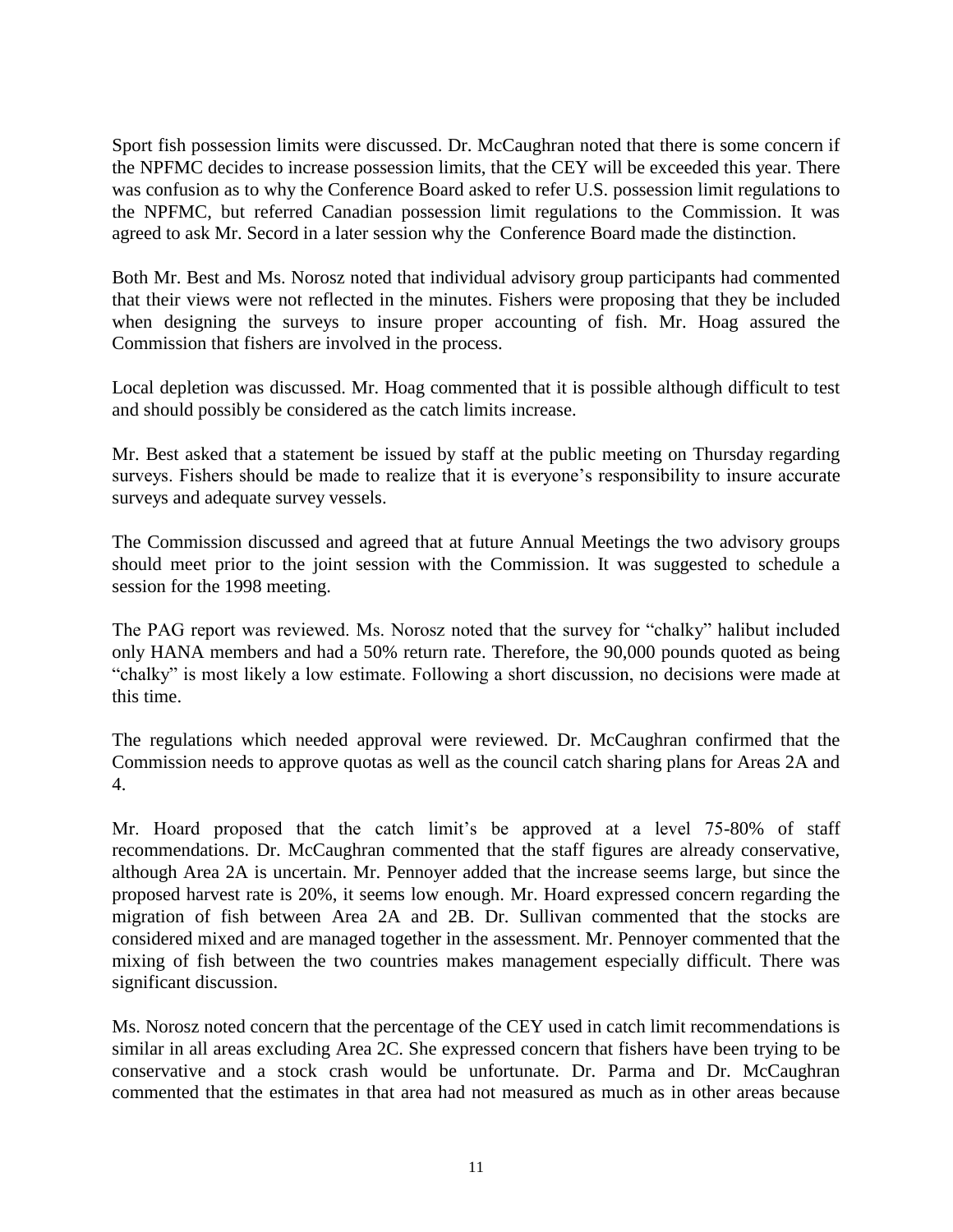Sport fish possession limits were discussed. Dr. McCaughran noted that there is some concern if the NPFMC decides to increase possession limits, that the CEY will be exceeded this year. There was confusion as to why the Conference Board asked to refer U.S. possession limit regulations to the NPFMC, but referred Canadian possession limit regulations to the Commission. It was agreed to ask Mr. Secord in a later session why the Conference Board made the distinction.

Both Mr. Best and Ms. Norosz noted that individual advisory group participants had commented that their views were not reflected in the minutes. Fishers were proposing that they be included when designing the surveys to insure proper accounting of fish. Mr. Hoag assured the Commission that fishers are involved in the process.

Local depletion was discussed. Mr. Hoag commented that it is possible although difficult to test and should possibly be considered as the catch limits increase.

Mr. Best asked that a statement be issued by staff at the public meeting on Thursday regarding surveys. Fishers should be made to realize that it is everyone's responsibility to insure accurate surveys and adequate survey vessels.

The Commission discussed and agreed that at future Annual Meetings the two advisory groups should meet prior to the joint session with the Commission. It was suggested to schedule a session for the 1998 meeting.

The PAG report was reviewed. Ms. Norosz noted that the survey for "chalky" halibut included only HANA members and had a 50% return rate. Therefore, the 90,000 pounds quoted as being "chalky" is most likely a low estimate. Following a short discussion, no decisions were made at this time.

The regulations which needed approval were reviewed. Dr. McCaughran confirmed that the Commission needs to approve quotas as well as the council catch sharing plans for Areas 2A and 4.

Mr. Hoard proposed that the catch limit's be approved at a level 75-80% of staff recommendations. Dr. McCaughran commented that the staff figures are already conservative, although Area 2A is uncertain. Mr. Pennoyer added that the increase seems large, but since the proposed harvest rate is 20%, it seems low enough. Mr. Hoard expressed concern regarding the migration of fish between Area 2A and 2B. Dr. Sullivan commented that the stocks are considered mixed and are managed together in the assessment. Mr. Pennoyer commented that the mixing of fish between the two countries makes management especially difficult. There was significant discussion.

Ms. Norosz noted concern that the percentage of the CEY used in catch limit recommendations is similar in all areas excluding Area 2C. She expressed concern that fishers have been trying to be conservative and a stock crash would be unfortunate. Dr. Parma and Dr. McCaughran commented that the estimates in that area had not measured as much as in other areas because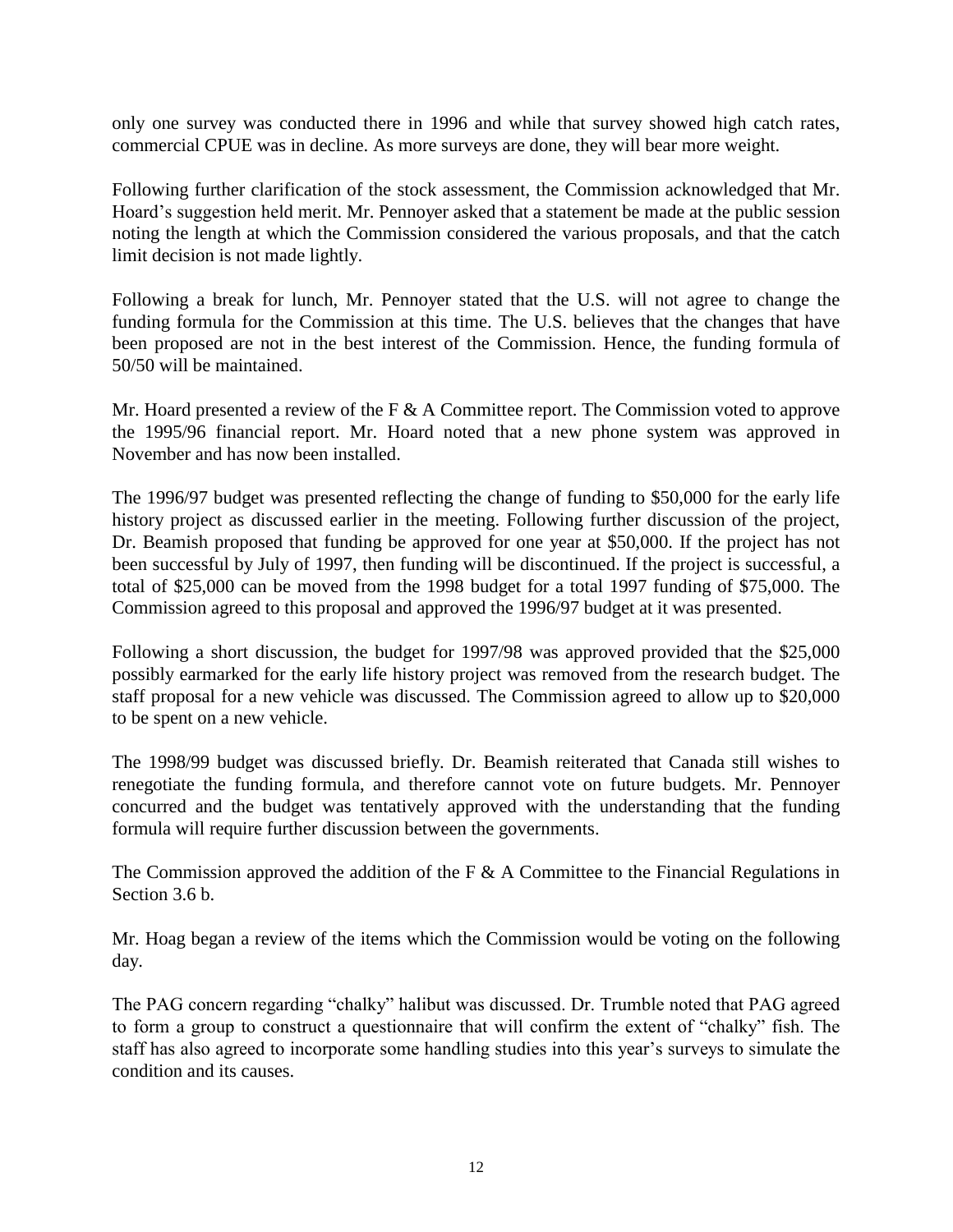only one survey was conducted there in 1996 and while that survey showed high catch rates, commercial CPUE was in decline. As more surveys are done, they will bear more weight.

Following further clarification of the stock assessment, the Commission acknowledged that Mr. Hoard's suggestion held merit. Mr. Pennoyer asked that a statement be made at the public session noting the length at which the Commission considered the various proposals, and that the catch limit decision is not made lightly.

Following a break for lunch, Mr. Pennoyer stated that the U.S. will not agree to change the funding formula for the Commission at this time. The U.S. believes that the changes that have been proposed are not in the best interest of the Commission. Hence, the funding formula of 50/50 will be maintained.

Mr. Hoard presented a review of the F & A Committee report. The Commission voted to approve the 1995/96 financial report. Mr. Hoard noted that a new phone system was approved in November and has now been installed.

The 1996/97 budget was presented reflecting the change of funding to \$50,000 for the early life history project as discussed earlier in the meeting. Following further discussion of the project, Dr. Beamish proposed that funding be approved for one year at \$50,000. If the project has not been successful by July of 1997, then funding will be discontinued. If the project is successful, a total of \$25,000 can be moved from the 1998 budget for a total 1997 funding of \$75,000. The Commission agreed to this proposal and approved the 1996/97 budget at it was presented.

Following a short discussion, the budget for 1997/98 was approved provided that the \$25,000 possibly earmarked for the early life history project was removed from the research budget. The staff proposal for a new vehicle was discussed. The Commission agreed to allow up to \$20,000 to be spent on a new vehicle.

The 1998/99 budget was discussed briefly. Dr. Beamish reiterated that Canada still wishes to renegotiate the funding formula, and therefore cannot vote on future budgets. Mr. Pennoyer concurred and the budget was tentatively approved with the understanding that the funding formula will require further discussion between the governments.

The Commission approved the addition of the F  $\&$  A Committee to the Financial Regulations in Section 3.6 b.

Mr. Hoag began a review of the items which the Commission would be voting on the following day.

The PAG concern regarding "chalky" halibut was discussed. Dr. Trumble noted that PAG agreed to form a group to construct a questionnaire that will confirm the extent of "chalky" fish. The staff has also agreed to incorporate some handling studies into this year's surveys to simulate the condition and its causes.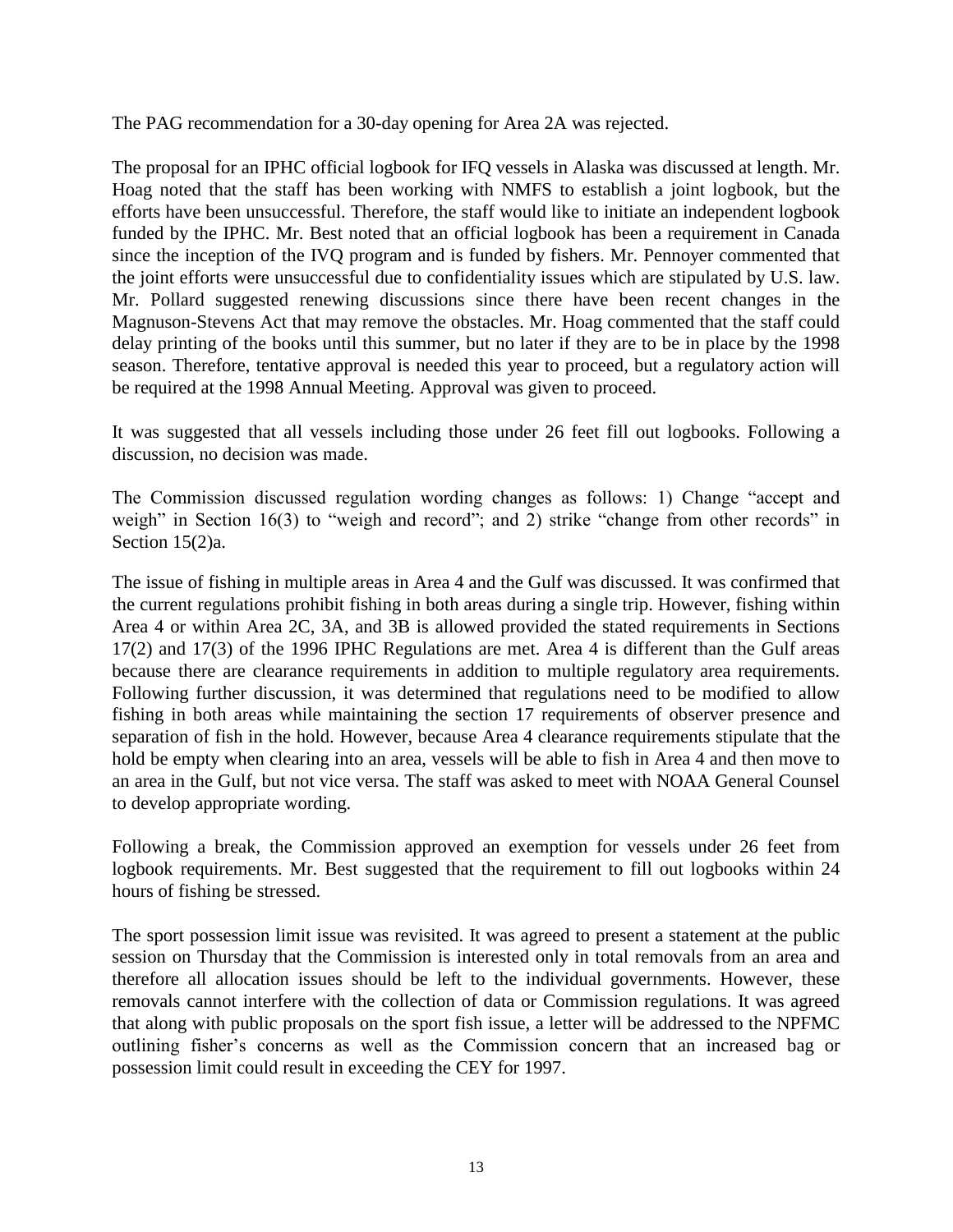The PAG recommendation for a 30-day opening for Area 2A was rejected.

The proposal for an IPHC official logbook for IFQ vessels in Alaska was discussed at length. Mr. Hoag noted that the staff has been working with NMFS to establish a joint logbook, but the efforts have been unsuccessful. Therefore, the staff would like to initiate an independent logbook funded by the IPHC. Mr. Best noted that an official logbook has been a requirement in Canada since the inception of the IVQ program and is funded by fishers. Mr. Pennoyer commented that the joint efforts were unsuccessful due to confidentiality issues which are stipulated by U.S. law. Mr. Pollard suggested renewing discussions since there have been recent changes in the Magnuson-Stevens Act that may remove the obstacles. Mr. Hoag commented that the staff could delay printing of the books until this summer, but no later if they are to be in place by the 1998 season. Therefore, tentative approval is needed this year to proceed, but a regulatory action will be required at the 1998 Annual Meeting. Approval was given to proceed.

It was suggested that all vessels including those under 26 feet fill out logbooks. Following a discussion, no decision was made.

The Commission discussed regulation wording changes as follows: 1) Change "accept and weigh" in Section 16(3) to "weigh and record"; and 2) strike "change from other records" in Section 15(2)a.

The issue of fishing in multiple areas in Area 4 and the Gulf was discussed. It was confirmed that the current regulations prohibit fishing in both areas during a single trip. However, fishing within Area 4 or within Area 2C, 3A, and 3B is allowed provided the stated requirements in Sections 17(2) and 17(3) of the 1996 IPHC Regulations are met. Area 4 is different than the Gulf areas because there are clearance requirements in addition to multiple regulatory area requirements. Following further discussion, it was determined that regulations need to be modified to allow fishing in both areas while maintaining the section 17 requirements of observer presence and separation of fish in the hold. However, because Area 4 clearance requirements stipulate that the hold be empty when clearing into an area, vessels will be able to fish in Area 4 and then move to an area in the Gulf, but not vice versa. The staff was asked to meet with NOAA General Counsel to develop appropriate wording.

Following a break, the Commission approved an exemption for vessels under 26 feet from logbook requirements. Mr. Best suggested that the requirement to fill out logbooks within 24 hours of fishing be stressed.

The sport possession limit issue was revisited. It was agreed to present a statement at the public session on Thursday that the Commission is interested only in total removals from an area and therefore all allocation issues should be left to the individual governments. However, these removals cannot interfere with the collection of data or Commission regulations. It was agreed that along with public proposals on the sport fish issue, a letter will be addressed to the NPFMC outlining fisher's concerns as well as the Commission concern that an increased bag or possession limit could result in exceeding the CEY for 1997.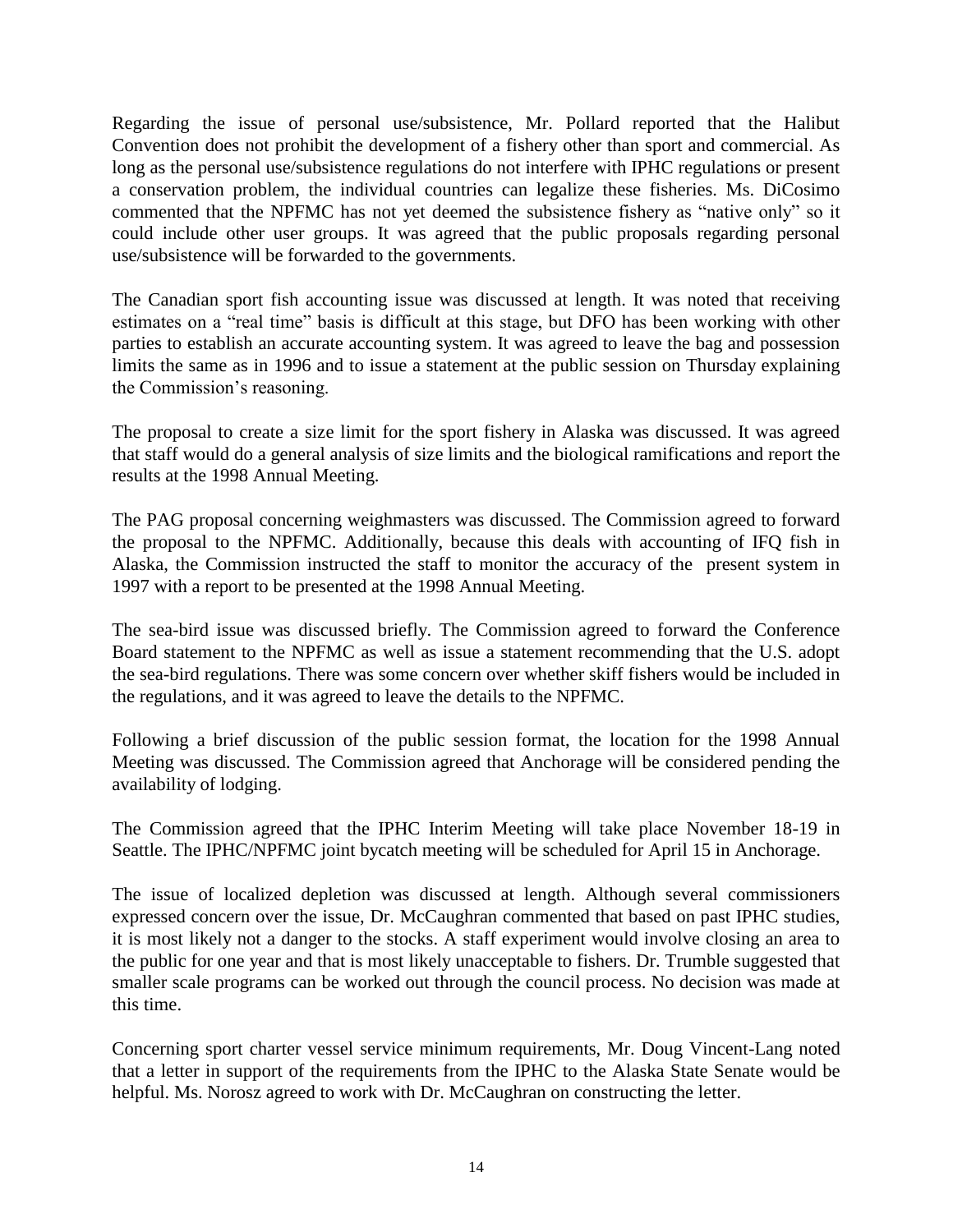Regarding the issue of personal use/subsistence, Mr. Pollard reported that the Halibut Convention does not prohibit the development of a fishery other than sport and commercial. As long as the personal use/subsistence regulations do not interfere with IPHC regulations or present a conservation problem, the individual countries can legalize these fisheries. Ms. DiCosimo commented that the NPFMC has not yet deemed the subsistence fishery as "native only" so it could include other user groups. It was agreed that the public proposals regarding personal use/subsistence will be forwarded to the governments.

The Canadian sport fish accounting issue was discussed at length. It was noted that receiving estimates on a "real time" basis is difficult at this stage, but DFO has been working with other parties to establish an accurate accounting system. It was agreed to leave the bag and possession limits the same as in 1996 and to issue a statement at the public session on Thursday explaining the Commission's reasoning.

The proposal to create a size limit for the sport fishery in Alaska was discussed. It was agreed that staff would do a general analysis of size limits and the biological ramifications and report the results at the 1998 Annual Meeting.

The PAG proposal concerning weighmasters was discussed. The Commission agreed to forward the proposal to the NPFMC. Additionally, because this deals with accounting of IFQ fish in Alaska, the Commission instructed the staff to monitor the accuracy of the present system in 1997 with a report to be presented at the 1998 Annual Meeting.

The sea-bird issue was discussed briefly. The Commission agreed to forward the Conference Board statement to the NPFMC as well as issue a statement recommending that the U.S. adopt the sea-bird regulations. There was some concern over whether skiff fishers would be included in the regulations, and it was agreed to leave the details to the NPFMC.

Following a brief discussion of the public session format, the location for the 1998 Annual Meeting was discussed. The Commission agreed that Anchorage will be considered pending the availability of lodging.

The Commission agreed that the IPHC Interim Meeting will take place November 18-19 in Seattle. The IPHC/NPFMC joint bycatch meeting will be scheduled for April 15 in Anchorage.

The issue of localized depletion was discussed at length. Although several commissioners expressed concern over the issue, Dr. McCaughran commented that based on past IPHC studies, it is most likely not a danger to the stocks. A staff experiment would involve closing an area to the public for one year and that is most likely unacceptable to fishers. Dr. Trumble suggested that smaller scale programs can be worked out through the council process. No decision was made at this time.

Concerning sport charter vessel service minimum requirements, Mr. Doug Vincent-Lang noted that a letter in support of the requirements from the IPHC to the Alaska State Senate would be helpful. Ms. Norosz agreed to work with Dr. McCaughran on constructing the letter.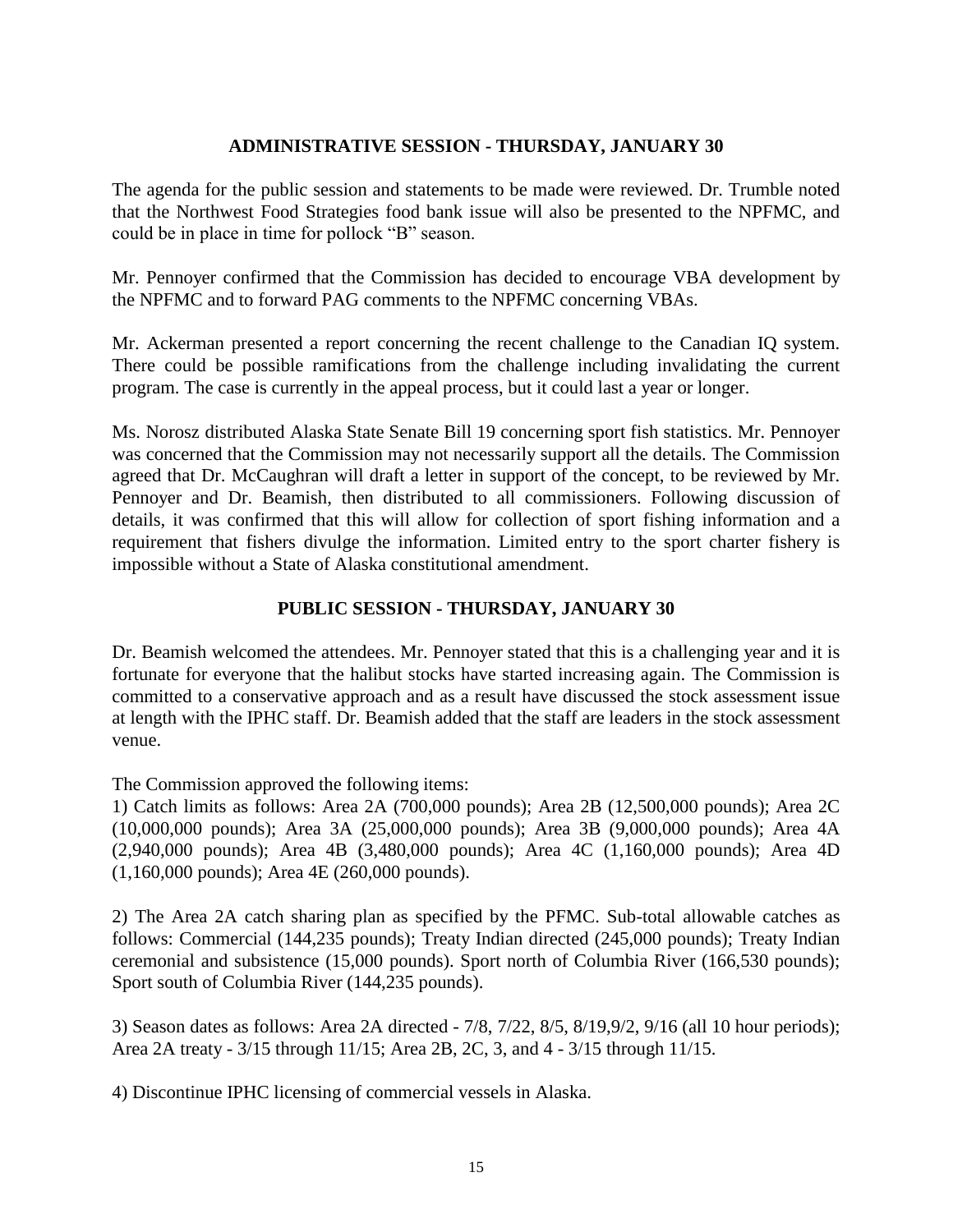## **ADMINISTRATIVE SESSION - THURSDAY, JANUARY 30**

The agenda for the public session and statements to be made were reviewed. Dr. Trumble noted that the Northwest Food Strategies food bank issue will also be presented to the NPFMC, and could be in place in time for pollock "B" season.

Mr. Pennoyer confirmed that the Commission has decided to encourage VBA development by the NPFMC and to forward PAG comments to the NPFMC concerning VBAs.

Mr. Ackerman presented a report concerning the recent challenge to the Canadian IQ system. There could be possible ramifications from the challenge including invalidating the current program. The case is currently in the appeal process, but it could last a year or longer.

Ms. Norosz distributed Alaska State Senate Bill 19 concerning sport fish statistics. Mr. Pennoyer was concerned that the Commission may not necessarily support all the details. The Commission agreed that Dr. McCaughran will draft a letter in support of the concept, to be reviewed by Mr. Pennoyer and Dr. Beamish, then distributed to all commissioners. Following discussion of details, it was confirmed that this will allow for collection of sport fishing information and a requirement that fishers divulge the information. Limited entry to the sport charter fishery is impossible without a State of Alaska constitutional amendment.

# **PUBLIC SESSION - THURSDAY, JANUARY 30**

Dr. Beamish welcomed the attendees. Mr. Pennoyer stated that this is a challenging year and it is fortunate for everyone that the halibut stocks have started increasing again. The Commission is committed to a conservative approach and as a result have discussed the stock assessment issue at length with the IPHC staff. Dr. Beamish added that the staff are leaders in the stock assessment venue.

The Commission approved the following items:

1) Catch limits as follows: Area 2A (700,000 pounds); Area 2B (12,500,000 pounds); Area 2C (10,000,000 pounds); Area 3A (25,000,000 pounds); Area 3B (9,000,000 pounds); Area 4A (2,940,000 pounds); Area 4B (3,480,000 pounds); Area 4C (1,160,000 pounds); Area 4D (1,160,000 pounds); Area 4E (260,000 pounds).

2) The Area 2A catch sharing plan as specified by the PFMC. Sub-total allowable catches as follows: Commercial (144,235 pounds); Treaty Indian directed (245,000 pounds); Treaty Indian ceremonial and subsistence (15,000 pounds). Sport north of Columbia River (166,530 pounds); Sport south of Columbia River (144,235 pounds).

3) Season dates as follows: Area 2A directed - 7/8, 7/22, 8/5, 8/19,9/2, 9/16 (all 10 hour periods); Area 2A treaty - 3/15 through 11/15; Area 2B, 2C, 3, and 4 - 3/15 through 11/15.

4) Discontinue IPHC licensing of commercial vessels in Alaska.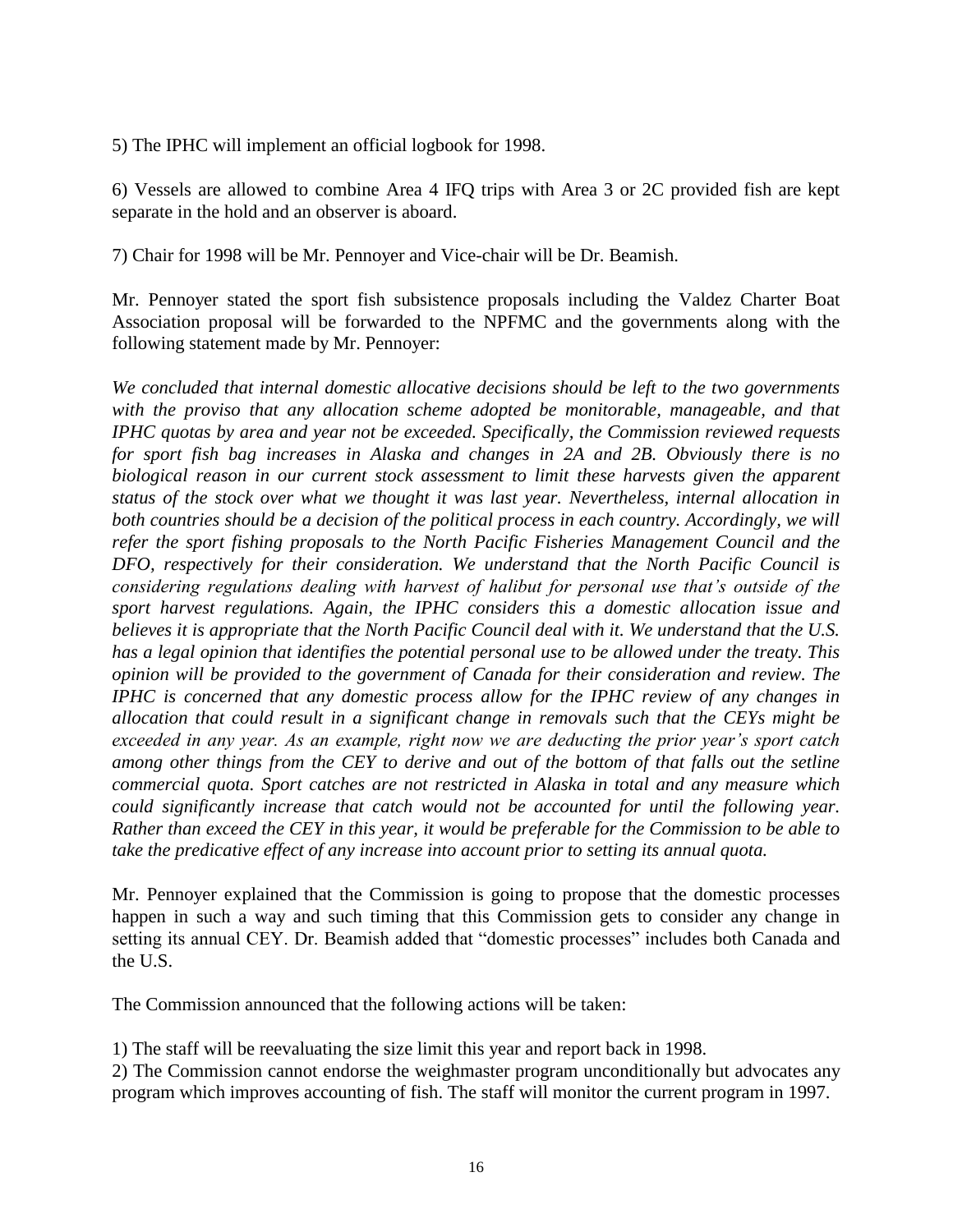5) The IPHC will implement an official logbook for 1998.

6) Vessels are allowed to combine Area 4 IFQ trips with Area 3 or 2C provided fish are kept separate in the hold and an observer is aboard.

7) Chair for 1998 will be Mr. Pennoyer and Vice-chair will be Dr. Beamish.

Mr. Pennoyer stated the sport fish subsistence proposals including the Valdez Charter Boat Association proposal will be forwarded to the NPFMC and the governments along with the following statement made by Mr. Pennoyer:

*We concluded that internal domestic allocative decisions should be left to the two governments with the proviso that any allocation scheme adopted be monitorable, manageable, and that IPHC quotas by area and year not be exceeded. Specifically, the Commission reviewed requests for sport fish bag increases in Alaska and changes in 2A and 2B. Obviously there is no biological reason in our current stock assessment to limit these harvests given the apparent status of the stock over what we thought it was last year. Nevertheless, internal allocation in*  both countries should be a decision of the political process in each country. Accordingly, we will *refer the sport fishing proposals to the North Pacific Fisheries Management Council and the DFO, respectively for their consideration. We understand that the North Pacific Council is considering regulations dealing with harvest of halibut for personal use that's outside of the sport harvest regulations. Again, the IPHC considers this a domestic allocation issue and believes it is appropriate that the North Pacific Council deal with it. We understand that the U.S. has a legal opinion that identifies the potential personal use to be allowed under the treaty. This opinion will be provided to the government of Canada for their consideration and review. The IPHC is concerned that any domestic process allow for the IPHC review of any changes in allocation that could result in a significant change in removals such that the CEYs might be exceeded in any year. As an example, right now we are deducting the prior year's sport catch among other things from the CEY to derive and out of the bottom of that falls out the setline commercial quota. Sport catches are not restricted in Alaska in total and any measure which could significantly increase that catch would not be accounted for until the following year. Rather than exceed the CEY in this year, it would be preferable for the Commission to be able to take the predicative effect of any increase into account prior to setting its annual quota.* 

Mr. Pennoyer explained that the Commission is going to propose that the domestic processes happen in such a way and such timing that this Commission gets to consider any change in setting its annual CEY. Dr. Beamish added that "domestic processes" includes both Canada and the U.S.

The Commission announced that the following actions will be taken:

1) The staff will be reevaluating the size limit this year and report back in 1998.

2) The Commission cannot endorse the weighmaster program unconditionally but advocates any program which improves accounting of fish. The staff will monitor the current program in 1997.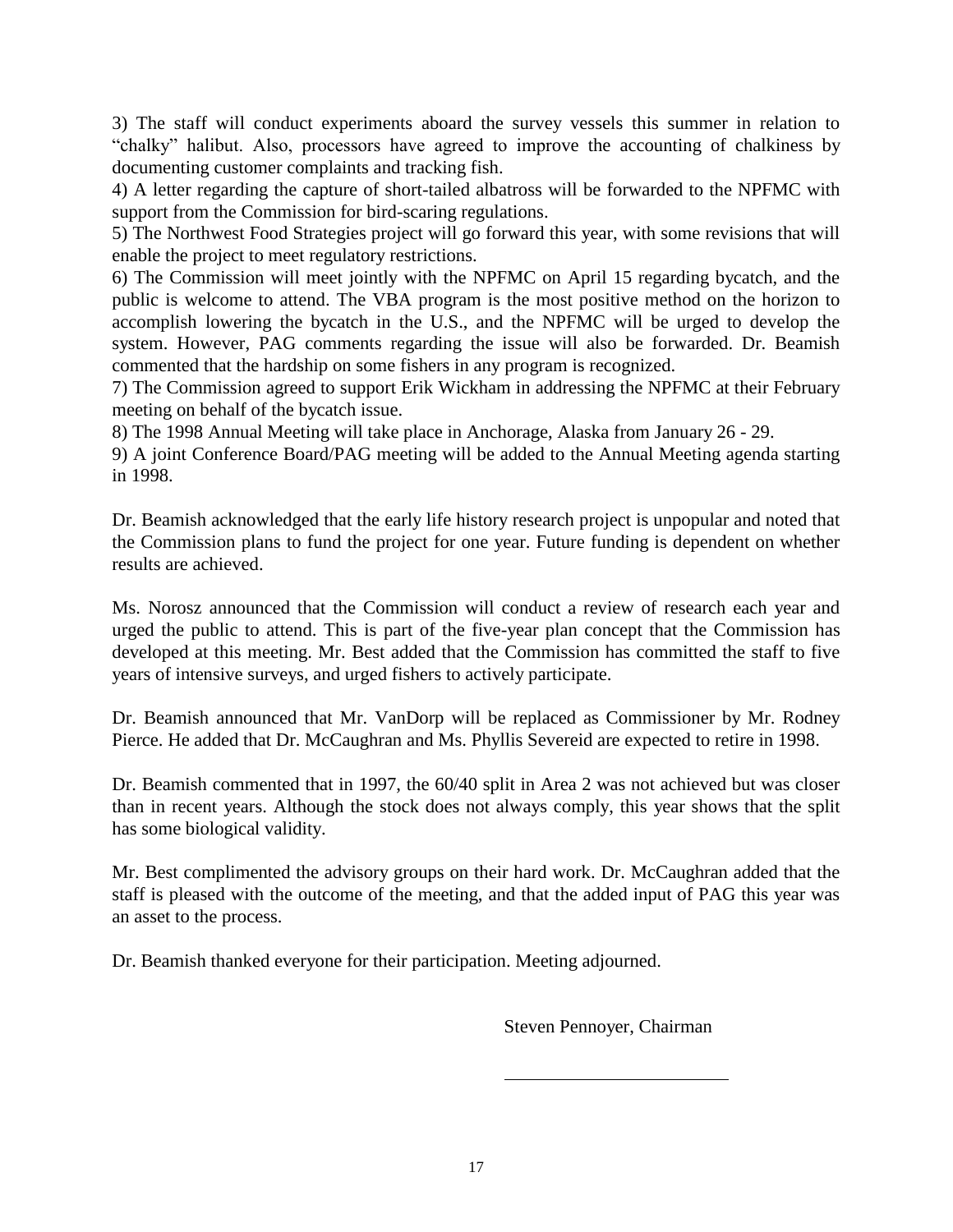3) The staff will conduct experiments aboard the survey vessels this summer in relation to "chalky" halibut. Also, processors have agreed to improve the accounting of chalkiness by documenting customer complaints and tracking fish.

4) A letter regarding the capture of short-tailed albatross will be forwarded to the NPFMC with support from the Commission for bird-scaring regulations.

5) The Northwest Food Strategies project will go forward this year, with some revisions that will enable the project to meet regulatory restrictions.

6) The Commission will meet jointly with the NPFMC on April 15 regarding bycatch, and the public is welcome to attend. The VBA program is the most positive method on the horizon to accomplish lowering the bycatch in the U.S., and the NPFMC will be urged to develop the system. However, PAG comments regarding the issue will also be forwarded. Dr. Beamish commented that the hardship on some fishers in any program is recognized.

7) The Commission agreed to support Erik Wickham in addressing the NPFMC at their February meeting on behalf of the bycatch issue.

8) The 1998 Annual Meeting will take place in Anchorage, Alaska from January 26 - 29.

9) A joint Conference Board/PAG meeting will be added to the Annual Meeting agenda starting in 1998.

Dr. Beamish acknowledged that the early life history research project is unpopular and noted that the Commission plans to fund the project for one year. Future funding is dependent on whether results are achieved.

Ms. Norosz announced that the Commission will conduct a review of research each year and urged the public to attend. This is part of the five-year plan concept that the Commission has developed at this meeting. Mr. Best added that the Commission has committed the staff to five years of intensive surveys, and urged fishers to actively participate.

Dr. Beamish announced that Mr. VanDorp will be replaced as Commissioner by Mr. Rodney Pierce. He added that Dr. McCaughran and Ms. Phyllis Severeid are expected to retire in 1998.

Dr. Beamish commented that in 1997, the 60/40 split in Area 2 was not achieved but was closer than in recent years. Although the stock does not always comply, this year shows that the split has some biological validity.

Mr. Best complimented the advisory groups on their hard work. Dr. McCaughran added that the staff is pleased with the outcome of the meeting, and that the added input of PAG this year was an asset to the process.

Dr. Beamish thanked everyone for their participation. Meeting adjourned.

Steven Pennoyer, Chairman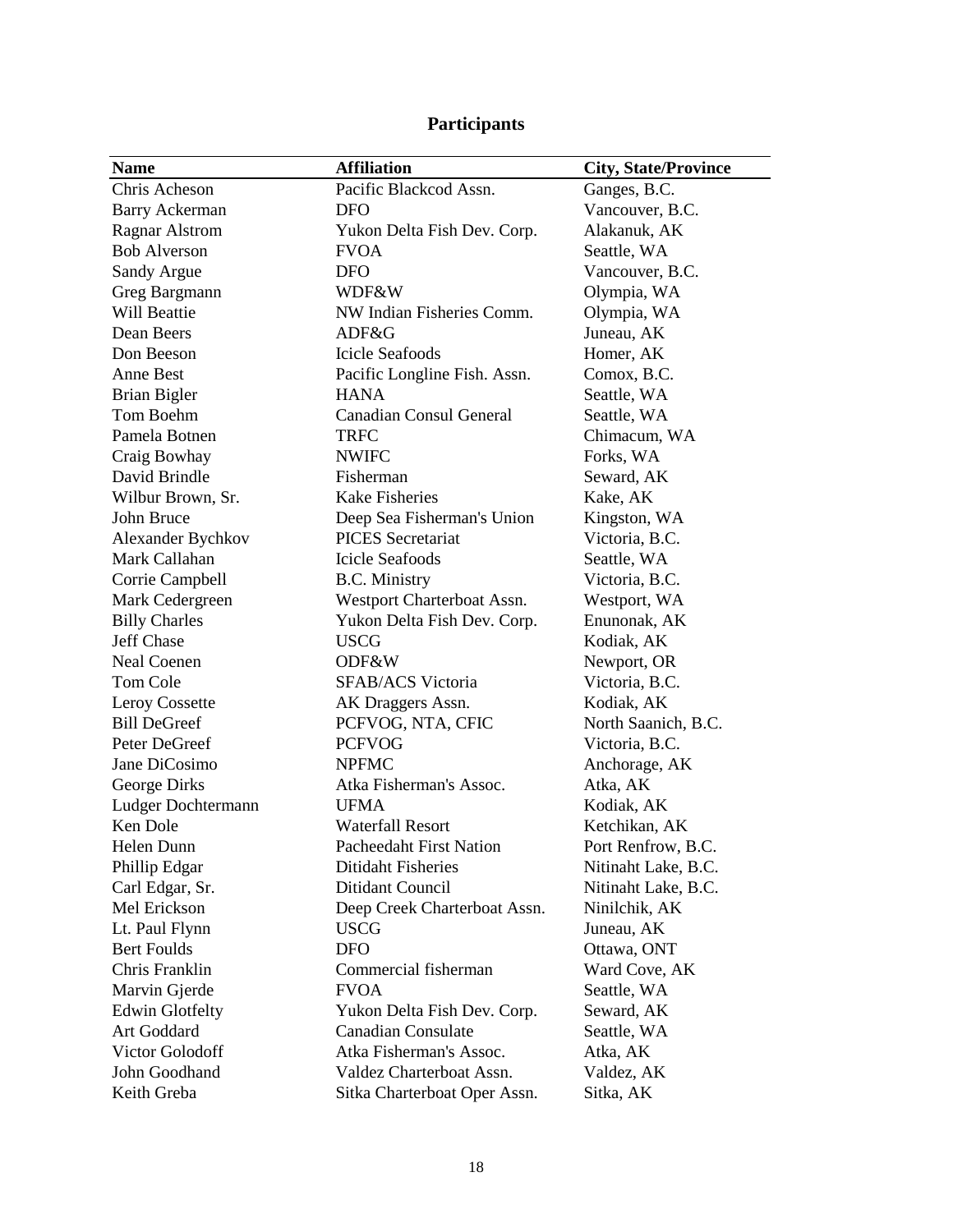# **Participants**

| <b>Name</b>            | <b>Affiliation</b>             | <b>City, State/Province</b> |
|------------------------|--------------------------------|-----------------------------|
| Chris Acheson          | Pacific Blackcod Assn.         | Ganges, B.C.                |
| <b>Barry Ackerman</b>  | <b>DFO</b>                     | Vancouver, B.C.             |
| <b>Ragnar Alstrom</b>  | Yukon Delta Fish Dev. Corp.    | Alakanuk, AK                |
| <b>Bob Alverson</b>    | <b>FVOA</b>                    | Seattle, WA                 |
| Sandy Argue            | <b>DFO</b>                     | Vancouver, B.C.             |
| Greg Bargmann          | WDF&W                          | Olympia, WA                 |
| Will Beattie           | NW Indian Fisheries Comm.      | Olympia, WA                 |
| Dean Beers             | ADF&G                          | Juneau, AK                  |
| Don Beeson             | <b>Icicle Seafoods</b>         | Homer, AK                   |
| Anne Best              | Pacific Longline Fish. Assn.   | Comox, B.C.                 |
| Brian Bigler           | <b>HANA</b>                    | Seattle, WA                 |
| Tom Boehm              | <b>Canadian Consul General</b> | Seattle, WA                 |
| Pamela Botnen          | <b>TRFC</b>                    | Chimacum, WA                |
| Craig Bowhay           | <b>NWIFC</b>                   | Forks, WA                   |
| David Brindle          | Fisherman                      | Seward, AK                  |
| Wilbur Brown, Sr.      | <b>Kake Fisheries</b>          | Kake, AK                    |
| John Bruce             | Deep Sea Fisherman's Union     | Kingston, WA                |
| Alexander Bychkov      | <b>PICES</b> Secretariat       | Victoria, B.C.              |
| Mark Callahan          | <b>Icicle Seafoods</b>         | Seattle, WA                 |
| Corrie Campbell        | <b>B.C.</b> Ministry           | Victoria, B.C.              |
| Mark Cedergreen        | Westport Charterboat Assn.     | Westport, WA                |
| <b>Billy Charles</b>   | Yukon Delta Fish Dev. Corp.    | Enunonak, AK                |
| <b>Jeff Chase</b>      | <b>USCG</b>                    | Kodiak, AK                  |
| <b>Neal Coenen</b>     | ODF&W                          | Newport, OR                 |
| Tom Cole               | SFAB/ACS Victoria              | Victoria, B.C.              |
| Leroy Cossette         | AK Draggers Assn.              | Kodiak, AK                  |
| <b>Bill DeGreef</b>    | PCFVOG, NTA, CFIC              | North Saanich, B.C.         |
| Peter DeGreef          | <b>PCFVOG</b>                  | Victoria, B.C.              |
| Jane DiCosimo          | <b>NPFMC</b>                   | Anchorage, AK               |
| George Dirks           | Atka Fisherman's Assoc.        | Atka, AK                    |
| Ludger Dochtermann     | <b>UFMA</b>                    | Kodiak, AK                  |
| Ken Dole               | <b>Waterfall Resort</b>        | Ketchikan, AK               |
| Helen Dunn             | <b>Pacheedaht First Nation</b> | Port Renfrow, B.C.          |
| Phillip Edgar          | Ditidaht Fisheries             | Nitinaht Lake, B.C.         |
| Carl Edgar, Sr.        | Ditidant Council               | Nitinaht Lake, B.C.         |
| Mel Erickson           | Deep Creek Charterboat Assn.   | Ninilchik, AK               |
| Lt. Paul Flynn         | <b>USCG</b>                    | Juneau, AK                  |
| <b>Bert Foulds</b>     | <b>DFO</b>                     | Ottawa, ONT                 |
| Chris Franklin         | Commercial fisherman           | Ward Cove, AK               |
| Marvin Gjerde          | <b>FVOA</b>                    | Seattle, WA                 |
| <b>Edwin Glotfelty</b> | Yukon Delta Fish Dev. Corp.    | Seward, AK                  |
| Art Goddard            | <b>Canadian Consulate</b>      | Seattle, WA                 |
| Victor Golodoff        | Atka Fisherman's Assoc.        | Atka, AK                    |
| John Goodhand          | Valdez Charterboat Assn.       | Valdez, AK                  |
| Keith Greba            | Sitka Charterboat Oper Assn.   | Sitka, AK                   |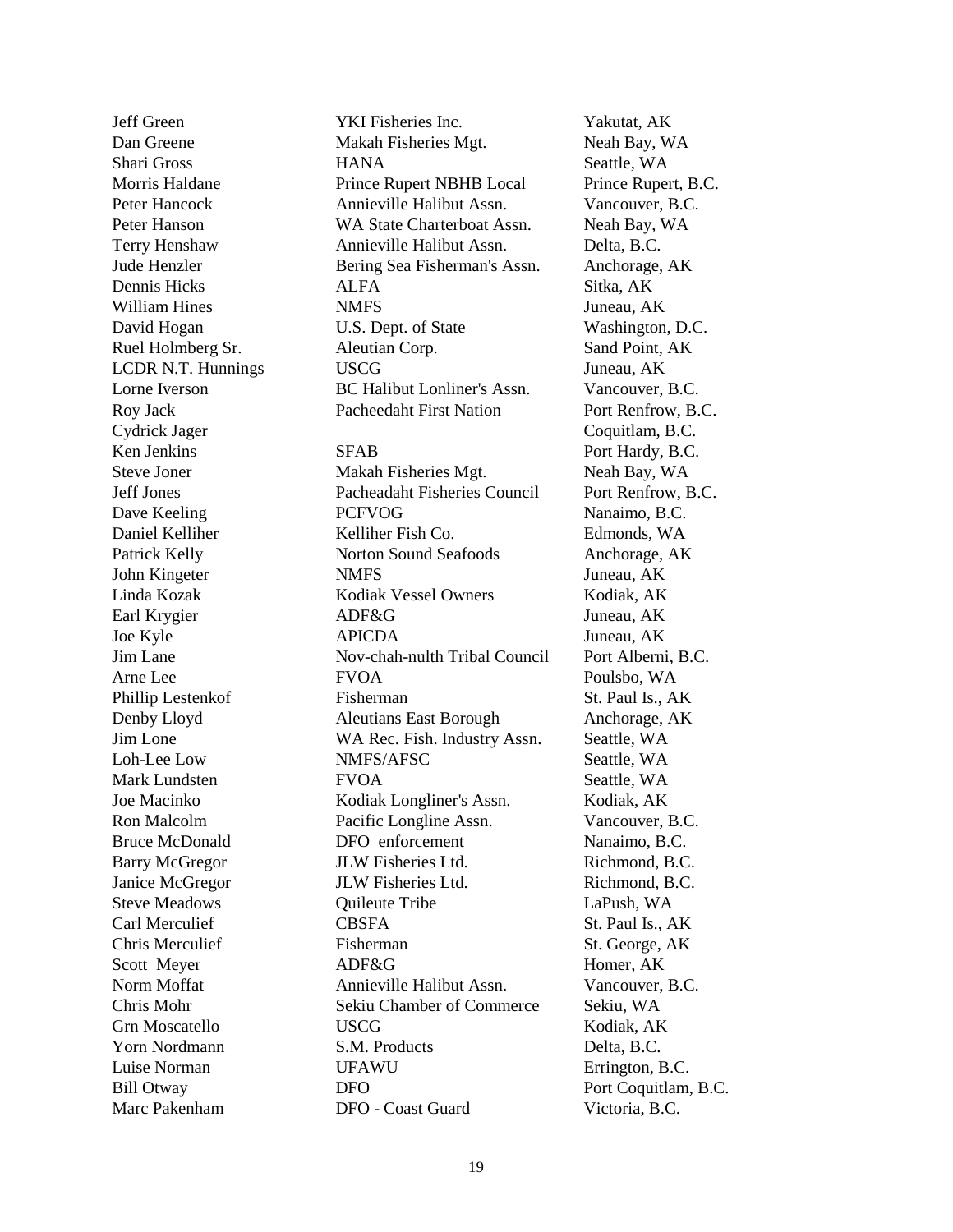Yorn Nordmann S.M. Products Delta, B.C. Luise Norman **III.** UFAWU Errington, B.C. Marc Pakenham DFO - Coast Guard Victoria, B.C.

Jeff Green YKI Fisheries Inc. Yakutat, AK Dan Greene Makah Fisheries Mgt. Neah Bay, WA Shari Gross **HANA** Seattle, WA Morris Haldane Prince Rupert NBHB Local Prince Rupert, B.C. Peter Hancock Annieville Halibut Assn. Vancouver, B.C. Peter Hanson WA State Charterboat Assn. Neah Bay, WA Terry Henshaw Annieville Halibut Assn. Delta, B.C. Jude Henzler Bering Sea Fisherman's Assn. Anchorage, AK Dennis Hicks ALFA Sitka, AK William Hines **NMFS** Juneau, AK David Hogan U.S. Dept. of State Washington, D.C. Ruel Holmberg Sr. Aleutian Corp. Sand Point, AK LCDR N.T. Hunnings USCG Juneau, AK Lorne Iverson BC Halibut Lonliner's Assn. Vancouver, B.C. Roy Jack Pacheedaht First Nation Port Renfrow, B.C. Cydrick Jager Coquitlam, B.C. Ken Jenkins SFAB Port Hardy, B.C. Steve Joner Makah Fisheries Mgt. Neah Bay, WA Jeff Jones Pacheadaht Fisheries Council Port Renfrow, B.C. Dave Keeling PCFVOG Nanaimo, B.C. Daniel Kelliher Kelliher Fish Co. Edmonds, WA Patrick Kelly **Norton Sound Seafoods** Anchorage, AK John Kingeter NMFS Juneau, AK Linda Kozak Kodiak Vessel Owners Kodiak, AK Earl Krygier ADF&G Juneau, AK Joe Kyle APICDA Juneau, AK Jim Lane Nov-chah-nulth Tribal Council Port Alberni, B.C. Arne Lee FVOA Poulsbo, WA Phillip Lestenkof Fisherman St. Paul Is., AK Denby Lloyd Aleutians East Borough Anchorage, AK Jim Lone WA Rec. Fish. Industry Assn. Seattle, WA Loh-Lee Low NMFS/AFSC Seattle, WA Mark Lundsten FVOA Seattle, WA Joe Macinko Kodiak Longliner's Assn. Kodiak, AK Ron Malcolm Pacific Longline Assn. Vancouver, B.C. Bruce McDonald DFO enforcement Nanaimo, B.C. Barry McGregor JLW Fisheries Ltd. Richmond, B.C. Janice McGregor JLW Fisheries Ltd. Richmond, B.C. Steve Meadows **Communicate Communicate Communicate** Communicate Communicate Communicate Communicate Communicate Communicate Communicate Communicate Communicate Communicate Communicate Communication Communication Communicat Carl Merculief CBSFA St. Paul Is., AK Chris Merculief Fisherman St. George, AK Scott Meyer **ADF&G** Homer, AK Norm Moffat Annieville Halibut Assn. Vancouver, B.C. Chris Mohr Sekiu Chamber of Commerce Sekiu, WA Grn Moscatello USCG Kodiak, AK

Bill Otway **DFO** Port Coquitlam, B.C.